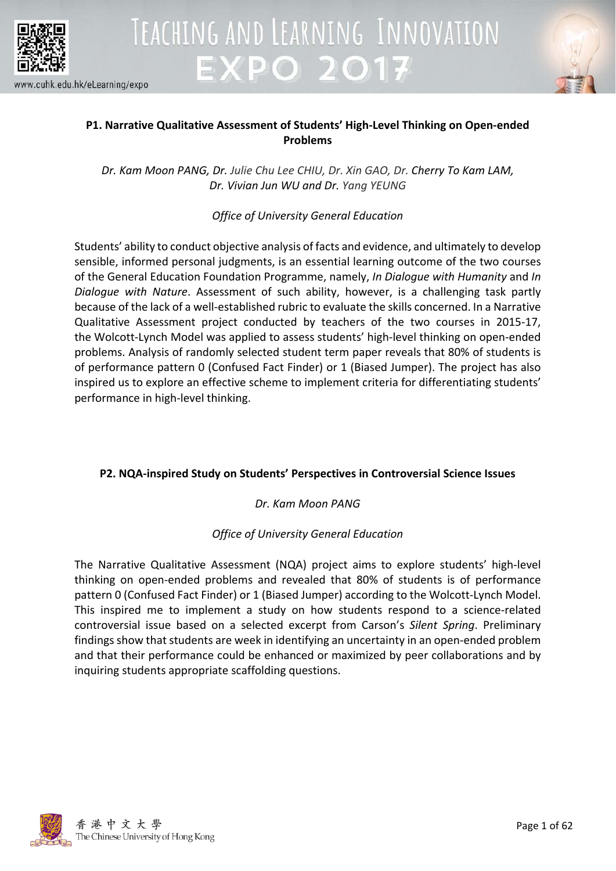



### **P1. Narrative Qualitative Assessment of Students' High-Level Thinking on Open-ended Problems**

*Dr. Kam Moon PANG, Dr. Julie Chu Lee CHIU, Dr. Xin GAO, Dr. Cherry To Kam LAM, Dr. Vivian Jun WU and Dr. Yang YEUNG*

*Office of University General Education*

Students' ability to conduct objective analysis of facts and evidence, and ultimately to develop sensible, informed personal judgments, is an essential learning outcome of the two courses of the General Education Foundation Programme, namely, *In Dialogue with Humanity* and *In Dialogue with Nature*. Assessment of such ability, however, is a challenging task partly because of the lack of a well-established rubric to evaluate the skills concerned. In a Narrative Qualitative Assessment project conducted by teachers of the two courses in 2015-17, the Wolcott-Lynch Model was applied to assess students' high-level thinking on open-ended problems. Analysis of randomly selected student term paper reveals that 80% of students is of performance pattern 0 (Confused Fact Finder) or 1 (Biased Jumper). The project has also inspired us to explore an effective scheme to implement criteria for differentiating students' performance in high-level thinking.

### **P2. NQA-inspired Study on Students' Perspectives in Controversial Science Issues**

### *Dr. Kam Moon PANG*

### *Office of University General Education*

The Narrative Qualitative Assessment (NQA) project aims to explore students' high-level thinking on open-ended problems and revealed that 80% of students is of performance pattern 0 (Confused Fact Finder) or 1 (Biased Jumper) according to the Wolcott-Lynch Model. This inspired me to implement a study on how students respond to a science-related controversial issue based on a selected excerpt from Carson's *Silent Spring*. Preliminary findings show that students are week in identifying an uncertainty in an open-ended problem and that their performance could be enhanced or maximized by peer collaborations and by inquiring students appropriate scaffolding questions.

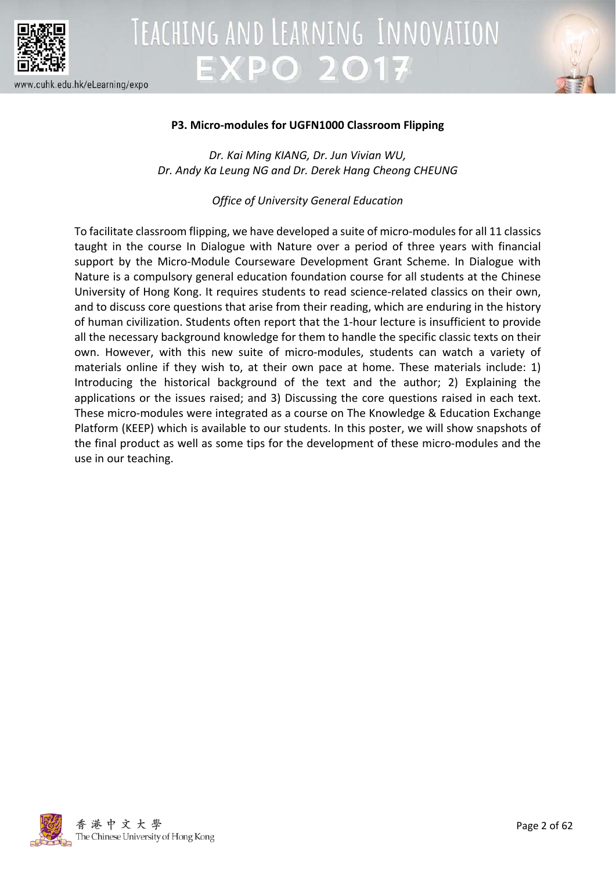



### **P3. Micro-modules for UGFN1000 Classroom Flipping**

*Dr. Kai Ming KIANG, Dr. Jun Vivian WU, Dr. Andy Ka Leung NG and Dr. Derek Hang Cheong CHEUNG*

*Office of University General Education*

To facilitate classroom flipping, we have developed a suite of micro-modules for all 11 classics taught in the course In Dialogue with Nature over a period of three years with financial support by the Micro-Module Courseware Development Grant Scheme. In Dialogue with Nature is a compulsory general education foundation course for all students at the Chinese University of Hong Kong. It requires students to read science-related classics on their own, and to discuss core questions that arise from their reading, which are enduring in the history of human civilization. Students often report that the 1-hour lecture is insufficient to provide all the necessary background knowledge for them to handle the specific classic texts on their own. However, with this new suite of micro-modules, students can watch a variety of materials online if they wish to, at their own pace at home. These materials include: 1) Introducing the historical background of the text and the author; 2) Explaining the applications or the issues raised; and 3) Discussing the core questions raised in each text. These micro-modules were integrated as a course on The Knowledge & Education Exchange Platform (KEEP) which is available to our students. In this poster, we will show snapshots of the final product as well as some tips for the development of these micro-modules and the use in our teaching.

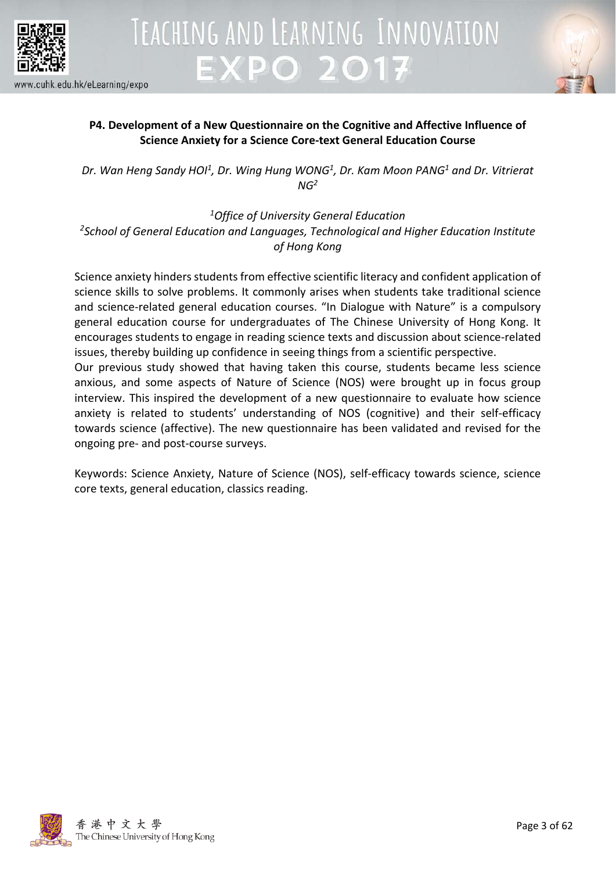



### **P4. Development of a New Questionnaire on the Cognitive and Affective Influence of Science Anxiety for a Science Core-text General Education Course**

*Dr. Wan Heng Sandy HOI1, Dr. Wing Hung WONG1 , Dr. Kam Moon PANG1 and Dr. Vitrierat NG2*

*1Office of University General Education 2 School of General Education and Languages, Technological and Higher Education Institute of Hong Kong*

Science anxiety hinders students from effective scientific literacy and confident application of science skills to solve problems. It commonly arises when students take traditional science and science-related general education courses. "In Dialogue with Nature" is a compulsory general education course for undergraduates of The Chinese University of Hong Kong. It encourages students to engage in reading science texts and discussion about science-related issues, thereby building up confidence in seeing things from a scientific perspective.

Our previous study showed that having taken this course, students became less science anxious, and some aspects of Nature of Science (NOS) were brought up in focus group interview. This inspired the development of a new questionnaire to evaluate how science anxiety is related to students' understanding of NOS (cognitive) and their self-efficacy towards science (affective). The new questionnaire has been validated and revised for the ongoing pre- and post-course surveys.

Keywords: Science Anxiety, Nature of Science (NOS), self-efficacy towards science, science core texts, general education, classics reading.

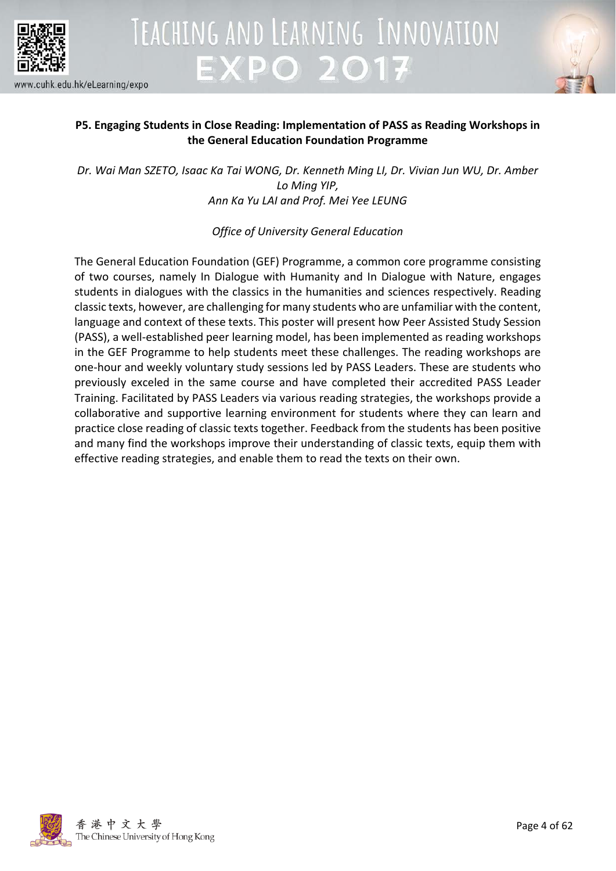



### **P5. Engaging Students in Close Reading: Implementation of PASS as Reading Workshops in the General Education Foundation Programme**

*Dr. Wai Man SZETO, Isaac Ka Tai WONG, Dr. Kenneth Ming LI, Dr. Vivian Jun WU, Dr. Amber Lo Ming YIP, Ann Ka Yu LAI and Prof. Mei Yee LEUNG*

### *Office of University General Education*

The General Education Foundation (GEF) Programme, a common core programme consisting of two courses, namely In Dialogue with Humanity and In Dialogue with Nature, engages students in dialogues with the classics in the humanities and sciences respectively. Reading classic texts, however, are challenging for many students who are unfamiliar with the content, language and context of these texts. This poster will present how Peer Assisted Study Session (PASS), a well-established peer learning model, has been implemented as reading workshops in the GEF Programme to help students meet these challenges. The reading workshops are one-hour and weekly voluntary study sessions led by PASS Leaders. These are students who previously exceled in the same course and have completed their accredited PASS Leader Training. Facilitated by PASS Leaders via various reading strategies, the workshops provide a collaborative and supportive learning environment for students where they can learn and practice close reading of classic texts together. Feedback from the students has been positive and many find the workshops improve their understanding of classic texts, equip them with effective reading strategies, and enable them to read the texts on their own.

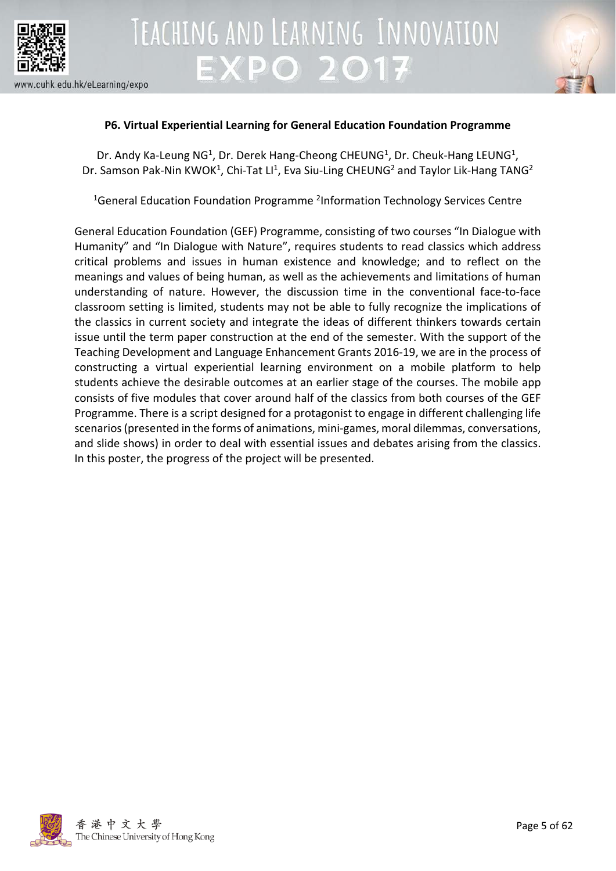



### **P6. Virtual Experiential Learning for General Education Foundation Programme**

Dr. Andy Ka-Leung NG<sup>1</sup>, Dr. Derek Hang-Cheong CHEUNG<sup>1</sup>, Dr. Cheuk-Hang LEUNG<sup>1</sup>, Dr. Samson Pak-Nin KWOK<sup>1</sup>, Chi-Tat LI<sup>1</sup>, Eva Siu-Ling CHEUNG<sup>2</sup> and Taylor Lik-Hang TANG<sup>2</sup>

<sup>1</sup>General Education Foundation Programme <sup>2</sup>Information Technology Services Centre

General Education Foundation (GEF) Programme, consisting of two courses "In Dialogue with Humanity" and "In Dialogue with Nature", requires students to read classics which address critical problems and issues in human existence and knowledge; and to reflect on the meanings and values of being human, as well as the achievements and limitations of human understanding of nature. However, the discussion time in the conventional face-to-face classroom setting is limited, students may not be able to fully recognize the implications of the classics in current society and integrate the ideas of different thinkers towards certain issue until the term paper construction at the end of the semester. With the support of the Teaching Development and Language Enhancement Grants 2016-19, we are in the process of constructing a virtual experiential learning environment on a mobile platform to help students achieve the desirable outcomes at an earlier stage of the courses. The mobile app consists of five modules that cover around half of the classics from both courses of the GEF Programme. There is a script designed for a protagonist to engage in different challenging life scenarios (presented in the forms of animations, mini-games, moral dilemmas, conversations, and slide shows) in order to deal with essential issues and debates arising from the classics. In this poster, the progress of the project will be presented.

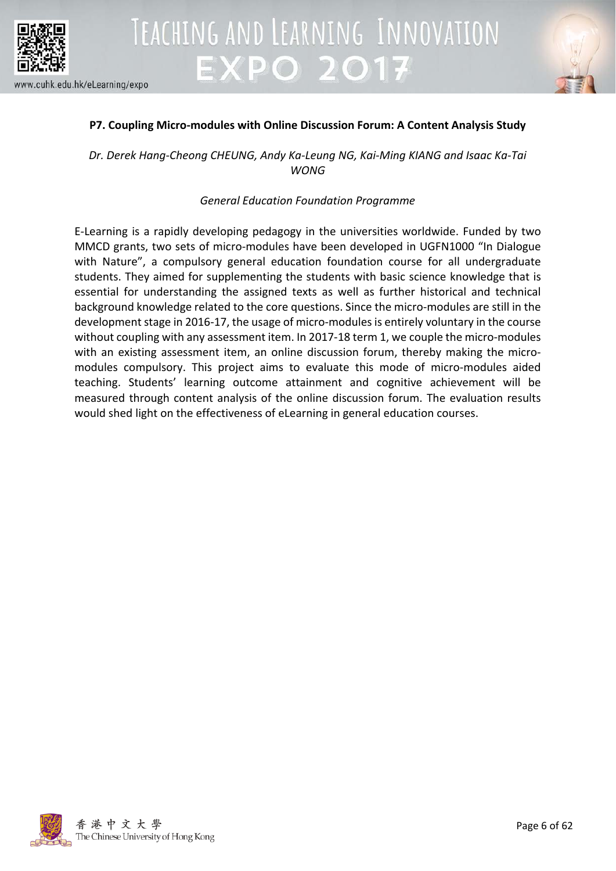



### **P7. Coupling Micro-modules with Online Discussion Forum: A Content Analysis Study**

*Dr. Derek Hang-Cheong CHEUNG, Andy Ka-Leung NG, Kai-Ming KIANG and Isaac Ka-Tai WONG*

### *General Education Foundation Programme*

E-Learning is a rapidly developing pedagogy in the universities worldwide. Funded by two MMCD grants, two sets of micro-modules have been developed in UGFN1000 "In Dialogue with Nature", a compulsory general education foundation course for all undergraduate students. They aimed for supplementing the students with basic science knowledge that is essential for understanding the assigned texts as well as further historical and technical background knowledge related to the core questions. Since the micro-modules are still in the development stage in 2016-17, the usage of micro-modules is entirely voluntary in the course without coupling with any assessment item. In 2017-18 term 1, we couple the micro-modules with an existing assessment item, an online discussion forum, thereby making the micromodules compulsory. This project aims to evaluate this mode of micro-modules aided teaching. Students' learning outcome attainment and cognitive achievement will be measured through content analysis of the online discussion forum. The evaluation results would shed light on the effectiveness of eLearning in general education courses.

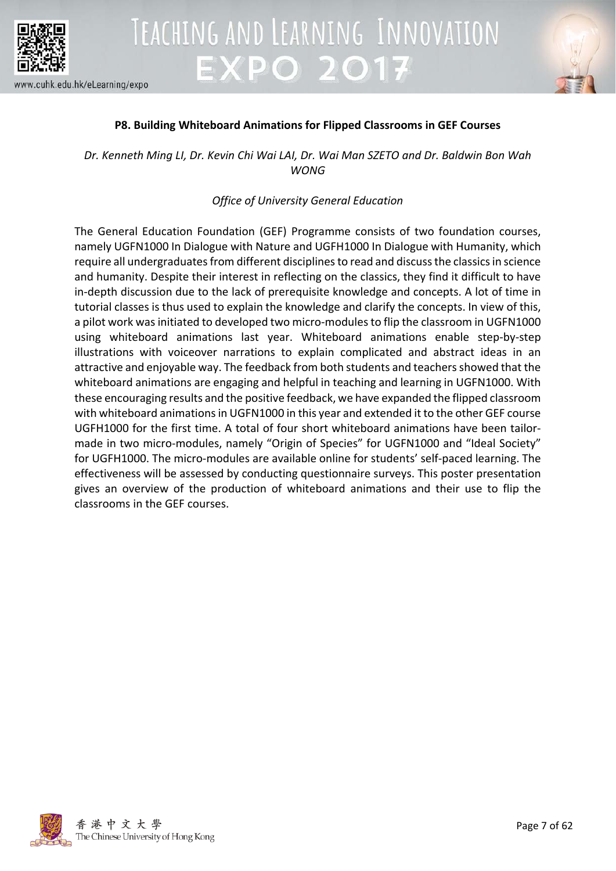



### **P8. Building Whiteboard Animations for Flipped Classrooms in GEF Courses**

*Dr. Kenneth Ming LI, Dr. Kevin Chi Wai LAI, Dr. Wai Man SZETO and Dr. Baldwin Bon Wah WONG*

### *Office of University General Education*

The General Education Foundation (GEF) Programme consists of two foundation courses, namely UGFN1000 In Dialogue with Nature and UGFH1000 In Dialogue with Humanity, which require all undergraduates from different disciplines to read and discuss the classics in science and humanity. Despite their interest in reflecting on the classics, they find it difficult to have in-depth discussion due to the lack of prerequisite knowledge and concepts. A lot of time in tutorial classes is thus used to explain the knowledge and clarify the concepts. In view of this, a pilot work was initiated to developed two micro-modules to flip the classroom in UGFN1000 using whiteboard animations last year. Whiteboard animations enable step-by-step illustrations with voiceover narrations to explain complicated and abstract ideas in an attractive and enjoyable way. The feedback from both students and teachers showed that the whiteboard animations are engaging and helpful in teaching and learning in UGFN1000. With these encouraging results and the positive feedback, we have expanded the flipped classroom with whiteboard animations in UGFN1000 in this year and extended it to the other GEF course UGFH1000 for the first time. A total of four short whiteboard animations have been tailormade in two micro-modules, namely "Origin of Species" for UGFN1000 and "Ideal Society" for UGFH1000. The micro-modules are available online for students' self-paced learning. The effectiveness will be assessed by conducting questionnaire surveys. This poster presentation gives an overview of the production of whiteboard animations and their use to flip the classrooms in the GEF courses.

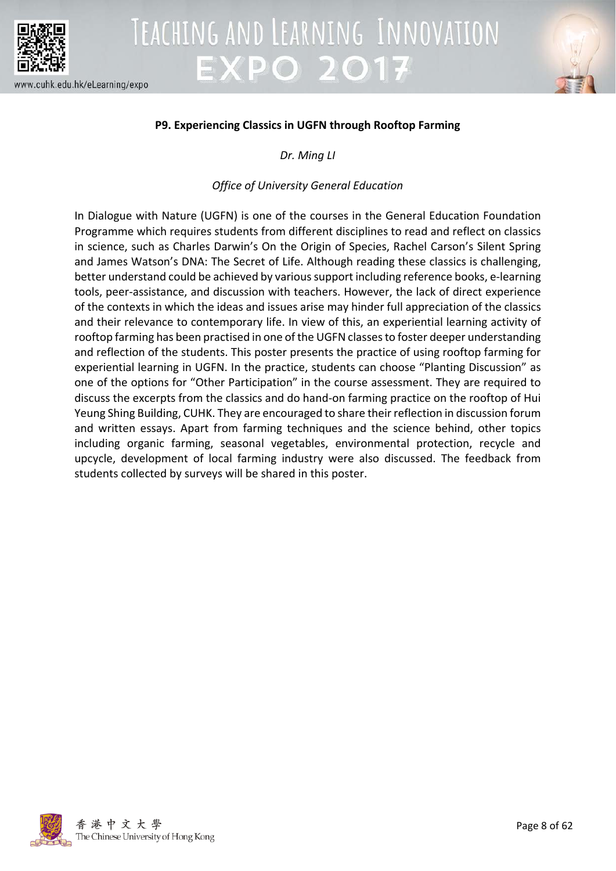



### **P9. Experiencing Classics in UGFN through Rooftop Farming**

*Dr. Ming LI*

### *Office of University General Education*

In Dialogue with Nature (UGFN) is one of the courses in the General Education Foundation Programme which requires students from different disciplines to read and reflect on classics in science, such as Charles Darwin's On the Origin of Species, Rachel Carson's Silent Spring and James Watson's DNA: The Secret of Life. Although reading these classics is challenging, better understand could be achieved by various support including reference books, e-learning tools, peer-assistance, and discussion with teachers. However, the lack of direct experience of the contexts in which the ideas and issues arise may hinder full appreciation of the classics and their relevance to contemporary life. In view of this, an experiential learning activity of rooftop farming has been practised in one of the UGFN classes to foster deeper understanding and reflection of the students. This poster presents the practice of using rooftop farming for experiential learning in UGFN. In the practice, students can choose "Planting Discussion" as one of the options for "Other Participation" in the course assessment. They are required to discuss the excerpts from the classics and do hand-on farming practice on the rooftop of Hui Yeung Shing Building, CUHK. They are encouraged to share their reflection in discussion forum and written essays. Apart from farming techniques and the science behind, other topics including organic farming, seasonal vegetables, environmental protection, recycle and upcycle, development of local farming industry were also discussed. The feedback from students collected by surveys will be shared in this poster.

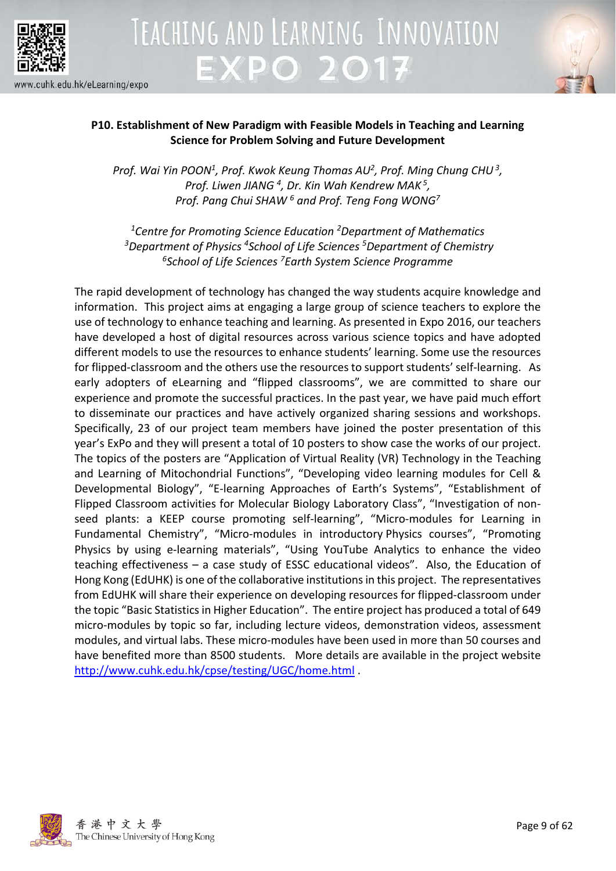



### **P10. Establishment of New Paradigm with Feasible Models in Teaching and Learning Science for Problem Solving and Future Development**

Prof. Wai Yin POON<sup>1</sup>, Prof. Kwok Keung Thomas AU<sup>2</sup>, Prof. Ming Chung CHU<sup>3</sup>, *Prof. Liwen JIANG 4, Dr. Kin Wah Kendrew MAK <sup>5</sup> , Prof. Pang Chui SHAW 6 and Prof. Teng Fong WONG7*

*1 Centre for Promoting Science Education 2Department of Mathematics 3Department of Physics 4School of Life Sciences 5Department of Chemistry 6School of Life Sciences 7 Earth System Science Programme*

The rapid development of technology has changed the way students acquire knowledge and information. This project aims at engaging a large group of science teachers to explore the use of technology to enhance teaching and learning. As presented in Expo 2016, our teachers have developed a host of digital resources across various science topics and have adopted different models to use the resources to enhance students' learning. Some use the resources for flipped-classroom and the others use the resources to support students' self-learning. As early adopters of eLearning and "flipped classrooms", we are committed to share our experience and promote the successful practices. In the past year, we have paid much effort to disseminate our practices and have actively organized sharing sessions and workshops. Specifically, 23 of our project team members have joined the poster presentation of this year's ExPo and they will present a total of 10 posters to show case the works of our project. The topics of the posters are "Application of Virtual Reality (VR) Technology in the Teaching and Learning of Mitochondrial Functions", "Developing video learning modules for Cell & Developmental Biology", "E-learning Approaches of Earth's Systems", "Establishment of Flipped Classroom activities for Molecular Biology Laboratory Class", "Investigation of nonseed plants: a KEEP course promoting self-learning", "Micro-modules for Learning in Fundamental Chemistry", "Micro-modules in introductory Physics courses", "Promoting Physics by using e-learning materials", "Using YouTube Analytics to enhance the video teaching effectiveness – a case study of ESSC educational videos". Also, the Education of Hong Kong (EdUHK) is one of the collaborative institutions in this project. The representatives from EdUHK will share their experience on developing resources for flipped-classroom under the topic "Basic Statistics in Higher Education". The entire project has produced a total of 649 micro-modules by topic so far, including lecture videos, demonstration videos, assessment modules, and virtual labs. These micro-modules have been used in more than 50 courses and have benefited more than 8500 students. More details are available in the project website <http://www.cuhk.edu.hk/cpse/testing/UGC/home.html> .

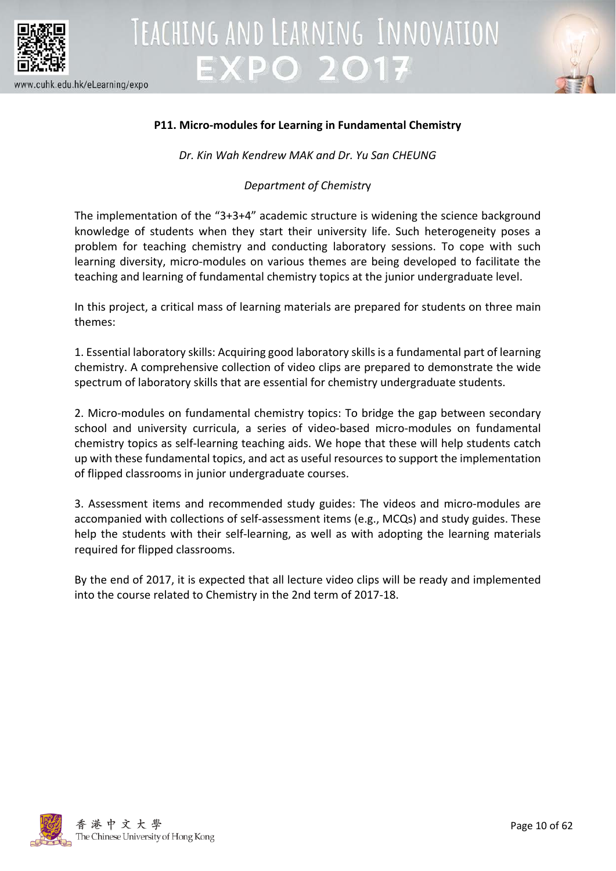



### **P11. Micro-modules for Learning in Fundamental Chemistry**

*Dr. Kin Wah Kendrew MAK and Dr. Yu San CHEUNG*

### *Department of Chemistr*y

The implementation of the "3+3+4" academic structure is widening the science background knowledge of students when they start their university life. Such heterogeneity poses a problem for teaching chemistry and conducting laboratory sessions. To cope with such learning diversity, micro-modules on various themes are being developed to facilitate the teaching and learning of fundamental chemistry topics at the junior undergraduate level.

In this project, a critical mass of learning materials are prepared for students on three main themes:

1. Essential laboratory skills: Acquiring good laboratory skills is a fundamental part of learning chemistry. A comprehensive collection of video clips are prepared to demonstrate the wide spectrum of laboratory skills that are essential for chemistry undergraduate students.

2. Micro-modules on fundamental chemistry topics: To bridge the gap between secondary school and university curricula, a series of video-based micro-modules on fundamental chemistry topics as self-learning teaching aids. We hope that these will help students catch up with these fundamental topics, and act as useful resources to support the implementation of flipped classrooms in junior undergraduate courses.

3. Assessment items and recommended study guides: The videos and micro-modules are accompanied with collections of self-assessment items (e.g., MCQs) and study guides. These help the students with their self-learning, as well as with adopting the learning materials required for flipped classrooms.

By the end of 2017, it is expected that all lecture video clips will be ready and implemented into the course related to Chemistry in the 2nd term of 2017-18.

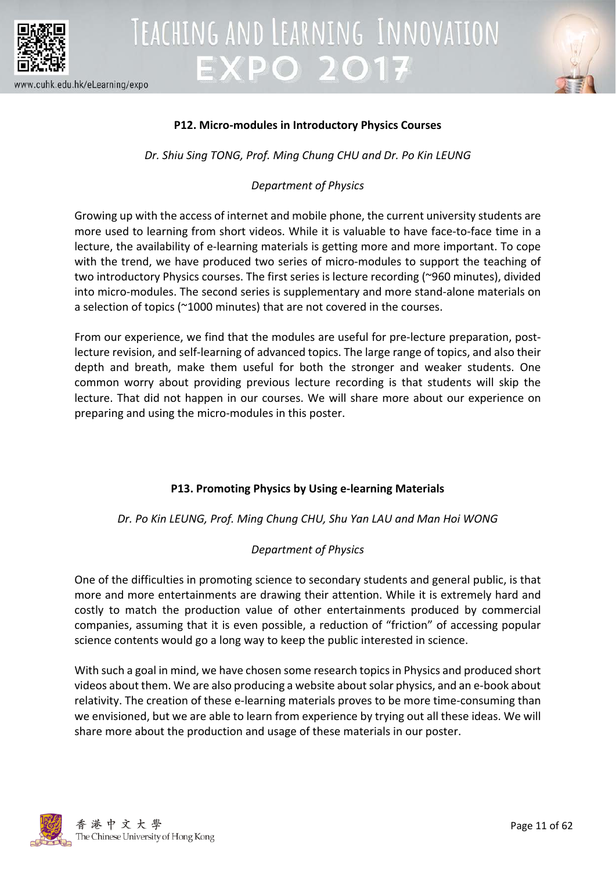



### **P12. Micro-modules in Introductory Physics Courses**

*Dr. Shiu Sing TONG, Prof. Ming Chung CHU and Dr. Po Kin LEUNG*

### *Department of Physics*

Growing up with the access of internet and mobile phone, the current university students are more used to learning from short videos. While it is valuable to have face-to-face time in a lecture, the availability of e-learning materials is getting more and more important. To cope with the trend, we have produced two series of micro-modules to support the teaching of two introductory Physics courses. The first series is lecture recording (~960 minutes), divided into micro-modules. The second series is supplementary and more stand-alone materials on a selection of topics (~1000 minutes) that are not covered in the courses.

From our experience, we find that the modules are useful for pre-lecture preparation, postlecture revision, and self-learning of advanced topics. The large range of topics, and also their depth and breath, make them useful for both the stronger and weaker students. One common worry about providing previous lecture recording is that students will skip the lecture. That did not happen in our courses. We will share more about our experience on preparing and using the micro-modules in this poster.

### **P13. Promoting Physics by Using e-learning Materials**

*Dr. Po Kin LEUNG, Prof. Ming Chung CHU, Shu Yan LAU and Man Hoi WONG*

### *Department of Physics*

One of the difficulties in promoting science to secondary students and general public, is that more and more entertainments are drawing their attention. While it is extremely hard and costly to match the production value of other entertainments produced by commercial companies, assuming that it is even possible, a reduction of "friction" of accessing popular science contents would go a long way to keep the public interested in science.

With such a goal in mind, we have chosen some research topics in Physics and produced short videos about them. We are also producing a website about solar physics, and an e-book about relativity. The creation of these e-learning materials proves to be more time-consuming than we envisioned, but we are able to learn from experience by trying out all these ideas. We will share more about the production and usage of these materials in our poster.

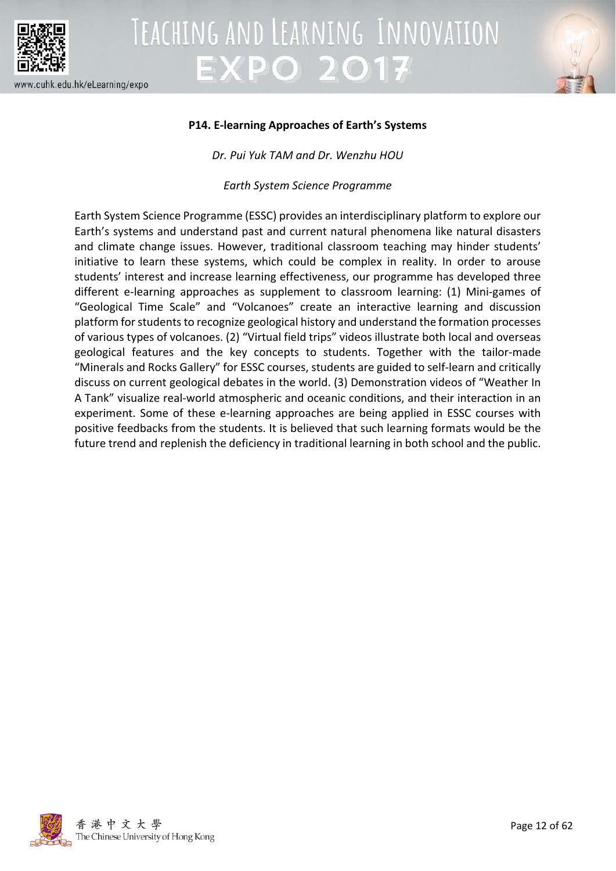



### **P14. E-learning Approaches of Earth's Systems**

*Dr. Pui Yuk TAM and Dr. Wenzhu HOU*

*Earth System Science Programme*

Earth System Science Programme (ESSC) provides an interdisciplinary platform to explore our Earth's systems and understand past and current natural phenomena like natural disasters and climate change issues. However, traditional classroom teaching may hinder students' initiative to learn these systems, which could be complex in reality. In order to arouse students' interest and increase learning effectiveness, our programme has developed three different e-learning approaches as supplement to classroom learning: (1) Mini-games of "Geological Time Scale" and "Volcanoes" create an interactive learning and discussion platform for students to recognize geological history and understand the formation processes of various types of volcanoes. (2) "Virtual field trips" videos illustrate both local and overseas geological features and the key concepts to students. Together with the tailor-made "Minerals and Rocks Gallery" for ESSC courses, students are guided to self-learn and critically discuss on current geological debates in the world. (3) Demonstration videos of "Weather In A Tank" visualize real-world atmospheric and oceanic conditions, and their interaction in an experiment. Some of these e-learning approaches are being applied in ESSC courses with positive feedbacks from the students. It is believed that such learning formats would be the future trend and replenish the deficiency in traditional learning in both school and the public.

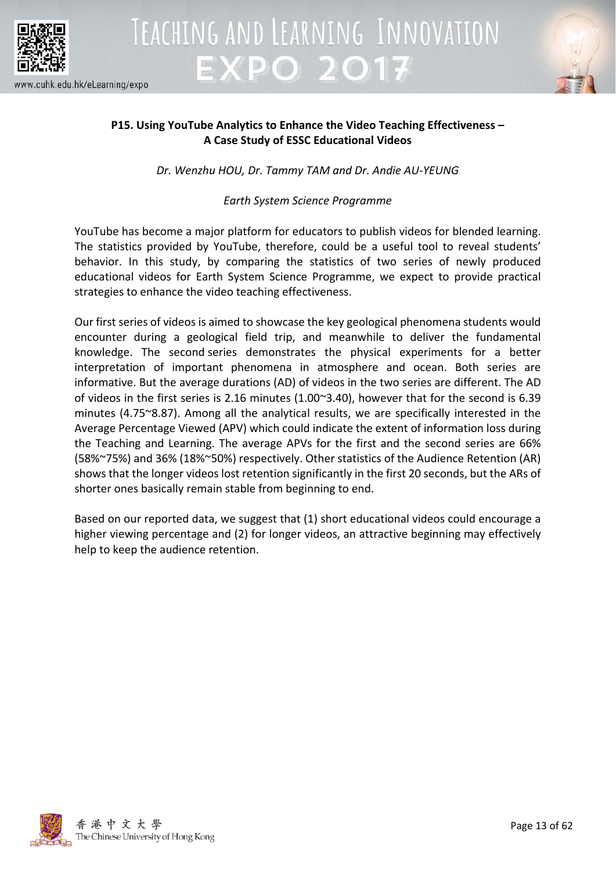



### **P15. Using YouTube Analytics to Enhance the Video Teaching Effectiveness – A Case Study of ESSC Educational Videos**

TEACHING AND LEARNING INNOVATION

*Dr. Wenzhu HOU, Dr. Tammy TAM and Dr. Andie AU-YEUNG*

### *Earth System Science Programme*

YouTube has become a major platform for educators to publish videos for blended learning. The statistics provided by YouTube, therefore, could be a useful tool to reveal students' behavior. In this study, by comparing the statistics of two series of newly produced educational videos for Earth System Science Programme, we expect to provide practical strategies to enhance the video teaching effectiveness.

Our first series of videos is aimed to showcase the key geological phenomena students would encounter during a geological field trip, and meanwhile to deliver the fundamental knowledge. The second series demonstrates the physical experiments for a better interpretation of important phenomena in atmosphere and ocean. Both series are informative. But the average durations (AD) of videos in the two series are different. The AD of videos in the first series is 2.16 minutes (1.00~3.40), however that for the second is 6.39 minutes (4.75~8.87). Among all the analytical results, we are specifically interested in the Average Percentage Viewed (APV) which could indicate the extent of information loss during the Teaching and Learning. The average APVs for the first and the second series are 66% (58%~75%) and 36% (18%~50%) respectively. Other statistics of the Audience Retention (AR) shows that the longer videos lost retention significantly in the first 20 seconds, but the ARs of shorter ones basically remain stable from beginning to end.

Based on our reported data, we suggest that (1) short educational videos could encourage a higher viewing percentage and (2) for longer videos, an attractive beginning may effectively help to keep the audience retention.

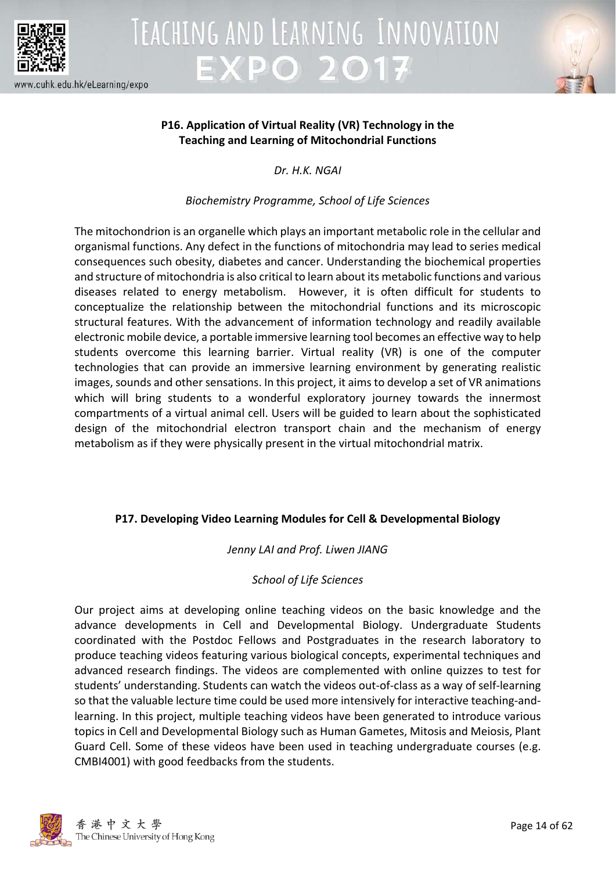

#### www.cuhk.edu.hk/eLearning/expo





### **P16. Application of Virtual Reality (VR) Technology in the Teaching and Learning of Mitochondrial Functions**

*Dr. H.K. NGAI*

### *Biochemistry Programme, School of Life Sciences*

The mitochondrion is an organelle which plays an important metabolic role in the cellular and organismal functions. Any defect in the functions of mitochondria may lead to series medical consequences such obesity, diabetes and cancer. Understanding the biochemical properties and structure of mitochondria is also critical to learn about its metabolic functions and various diseases related to energy metabolism. However, it is often difficult for students to conceptualize the relationship between the mitochondrial functions and its microscopic structural features. With the advancement of information technology and readily available electronic mobile device, a portable immersive learning tool becomes an effective way to help students overcome this learning barrier. Virtual reality (VR) is one of the computer technologies that can provide an immersive learning environment by generating realistic images, sounds and other sensations. In this project, it aims to develop a set of VR animations which will bring students to a wonderful exploratory journey towards the innermost compartments of a virtual animal cell. Users will be guided to learn about the sophisticated design of the mitochondrial electron transport chain and the mechanism of energy metabolism as if they were physically present in the virtual mitochondrial matrix.

### **P17. Developing Video Learning Modules for Cell & Developmental Biology**

### *Jenny LAI and Prof. Liwen JIANG*

### *School of Life Sciences*

Our project aims at developing online teaching videos on the basic knowledge and the advance developments in Cell and Developmental Biology. Undergraduate Students coordinated with the Postdoc Fellows and Postgraduates in the research laboratory to produce teaching videos featuring various biological concepts, experimental techniques and advanced research findings. The videos are complemented with online quizzes to test for students' understanding. Students can watch the videos out-of-class as a way of self-learning so that the valuable lecture time could be used more intensively for interactive teaching-andlearning. In this project, multiple teaching videos have been generated to introduce various topics in Cell and Developmental Biology such as Human Gametes, Mitosis and Meiosis, Plant Guard Cell. Some of these videos have been used in teaching undergraduate courses (e.g. CMBI4001) with good feedbacks from the students.

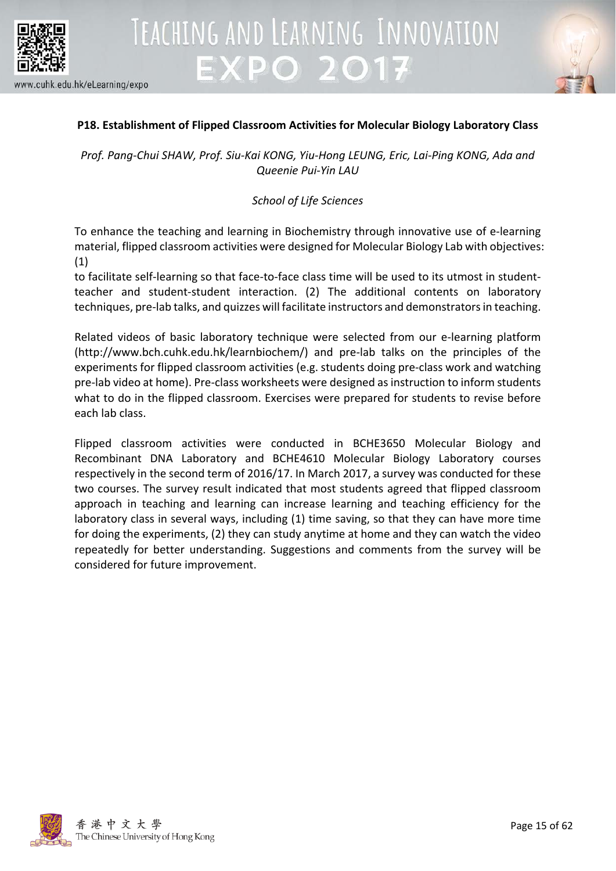



### **P18. Establishment of Flipped Classroom Activities for Molecular Biology Laboratory Class**

*Prof. Pang-Chui SHAW, Prof. Siu-Kai KONG, Yiu-Hong LEUNG, Eric, Lai-Ping KONG, Ada and Queenie Pui-Yin LAU*

### *School of Life Sciences*

To enhance the teaching and learning in Biochemistry through innovative use of e-learning material, flipped classroom activities were designed for Molecular Biology Lab with objectives: (1)

to facilitate self-learning so that face-to-face class time will be used to its utmost in studentteacher and student-student interaction. (2) The additional contents on laboratory techniques, pre-lab talks, and quizzes will facilitate instructors and demonstrators in teaching.

Related videos of basic laboratory technique were selected from our e-learning platform (http://www.bch.cuhk.edu.hk/learnbiochem/) and pre-lab talks on the principles of the experiments for flipped classroom activities (e.g. students doing pre-class work and watching pre-lab video at home). Pre-class worksheets were designed as instruction to inform students what to do in the flipped classroom. Exercises were prepared for students to revise before each lab class.

Flipped classroom activities were conducted in BCHE3650 Molecular Biology and Recombinant DNA Laboratory and BCHE4610 Molecular Biology Laboratory courses respectively in the second term of 2016/17. In March 2017, a survey was conducted for these two courses. The survey result indicated that most students agreed that flipped classroom approach in teaching and learning can increase learning and teaching efficiency for the laboratory class in several ways, including (1) time saving, so that they can have more time for doing the experiments, (2) they can study anytime at home and they can watch the video repeatedly for better understanding. Suggestions and comments from the survey will be considered for future improvement.

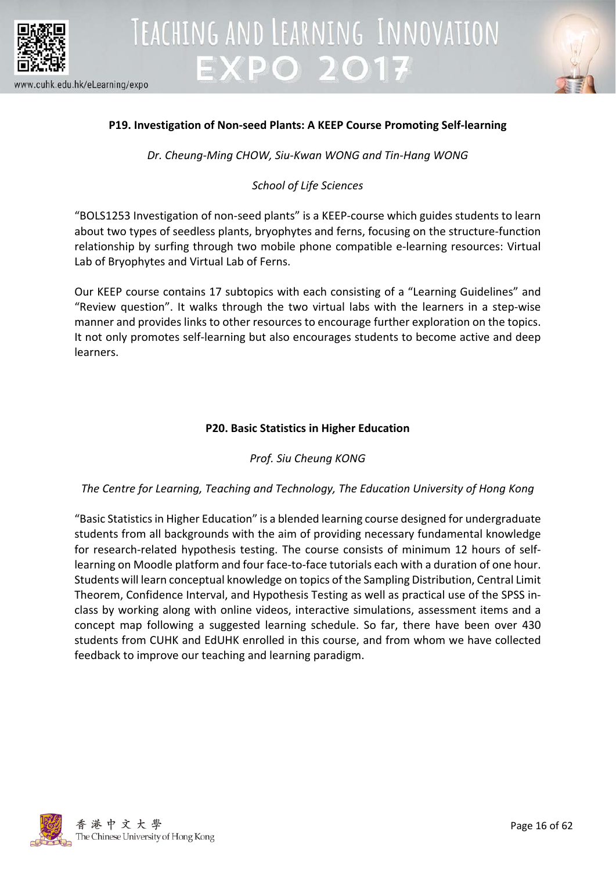



### **P19. Investigation of Non-seed Plants: A KEEP Course Promoting Self-learning**

*Dr. Cheung-Ming CHOW, Siu-Kwan WONG and Tin-Hang WONG*

### *School of Life Sciences*

"BOLS1253 Investigation of non-seed plants" is a KEEP-course which guides students to learn about two types of seedless plants, bryophytes and ferns, focusing on the structure-function relationship by surfing through two mobile phone compatible e-learning resources: Virtual Lab of Bryophytes and Virtual Lab of Ferns.

Our KEEP course contains 17 subtopics with each consisting of a "Learning Guidelines" and "Review question". It walks through the two virtual labs with the learners in a step-wise manner and provides links to other resources to encourage further exploration on the topics. It not only promotes self-learning but also encourages students to become active and deep learners.

### **P20. Basic Statistics in Higher Education**

### *Prof. Siu Cheung KONG*

### *The Centre for Learning, Teaching and Technology, The Education University of Hong Kong*

"Basic Statistics in Higher Education" is a blended learning course designed for undergraduate students from all backgrounds with the aim of providing necessary fundamental knowledge for research-related hypothesis testing. The course consists of minimum 12 hours of selflearning on Moodle platform and four face-to-face tutorials each with a duration of one hour. Students will learn conceptual knowledge on topics of the Sampling Distribution, Central Limit Theorem, Confidence Interval, and Hypothesis Testing as well as practical use of the SPSS inclass by working along with online videos, interactive simulations, assessment items and a concept map following a suggested learning schedule. So far, there have been over 430 students from CUHK and EdUHK enrolled in this course, and from whom we have collected feedback to improve our teaching and learning paradigm.

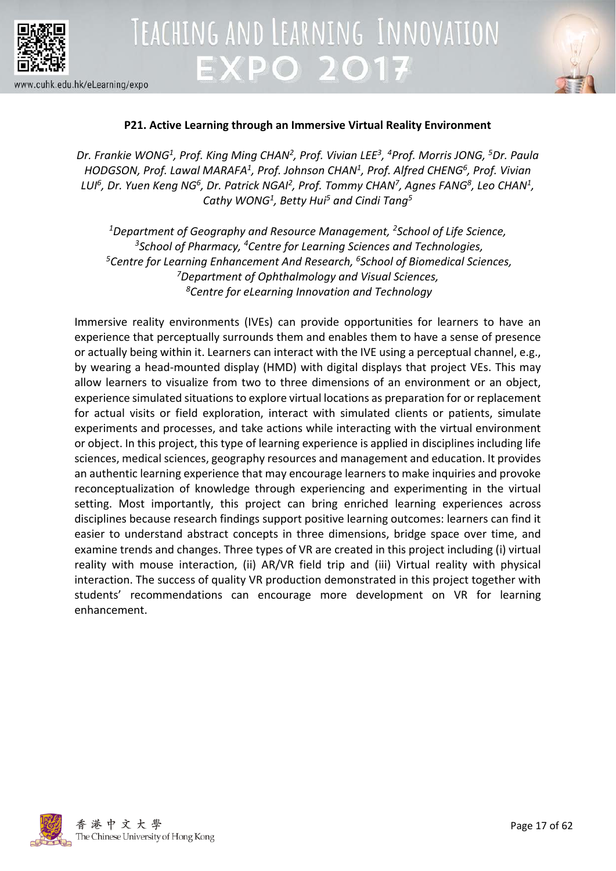



### **P21. Active Learning through an Immersive Virtual Reality Environment**

*Dr. Frankie WONG1, Prof. King Ming CHAN2 , Prof. Vivian LEE3, 4 Prof. Morris JONG, 5Dr. Paula HODGSON, Prof. Lawal MARAFA1 , Prof. Johnson CHAN1, Prof. Alfred CHENG6, Prof. Vivian*  LUI<sup>6</sup>, Dr. Yuen Keng NG<sup>6</sup>, Dr. Patrick NGAI<sup>2</sup>, Prof. Tommy CHAN<sup>7</sup>, Agnes FANG<sup>8</sup>, Leo CHAN<sup>1</sup>, *Cathy WONG1, Betty Hui5 and Cindi Tang5*

*1 Department of Geography and Resource Management, 2School of Life Science, 3School of Pharmacy, 4Centre for Learning Sciences and Technologies, 5 Centre for Learning Enhancement And Research, 6 School of Biomedical Sciences, 7 Department of Ophthalmology and Visual Sciences, 8Centre for eLearning Innovation and Technology*

Immersive reality environments (IVEs) can provide opportunities for learners to have an experience that perceptually surrounds them and enables them to have a sense of presence or actually being within it. Learners can interact with the IVE using a perceptual channel, e.g., by wearing a head-mounted display (HMD) with digital displays that project VEs. This may allow learners to visualize from two to three dimensions of an environment or an object, experience simulated situations to explore virtual locations as preparation for or replacement for actual visits or field exploration, interact with simulated clients or patients, simulate experiments and processes, and take actions while interacting with the virtual environment or object. In this project, this type of learning experience is applied in disciplines including life sciences, medical sciences, geography resources and management and education. It provides an authentic learning experience that may encourage learners to make inquiries and provoke reconceptualization of knowledge through experiencing and experimenting in the virtual setting. Most importantly, this project can bring enriched learning experiences across disciplines because research findings support positive learning outcomes: learners can find it easier to understand abstract concepts in three dimensions, bridge space over time, and examine trends and changes. Three types of VR are created in this project including (i) virtual reality with mouse interaction, (ii) AR/VR field trip and (iii) Virtual reality with physical interaction. The success of quality VR production demonstrated in this project together with students' recommendations can encourage more development on VR for learning enhancement.

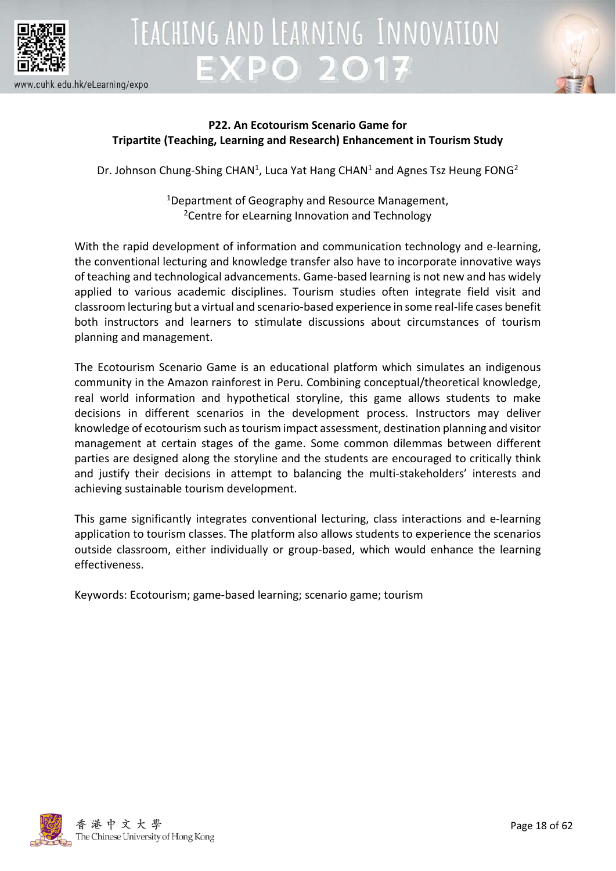



### **P22. An Ecotourism Scenario Game for Tripartite (Teaching, Learning and Research) Enhancement in Tourism Study**

Dr. Johnson Chung-Shing CHAN<sup>1</sup>, Luca Yat Hang CHAN<sup>1</sup> and Agnes Tsz Heung FONG<sup>2</sup>

1Department of Geography and Resource Management, <sup>2</sup>Centre for eLearning Innovation and Technology

With the rapid development of information and communication technology and e-learning, the conventional lecturing and knowledge transfer also have to incorporate innovative ways of teaching and technological advancements. Game-based learning is not new and has widely applied to various academic disciplines. Tourism studies often integrate field visit and classroom lecturing but a virtual and scenario-based experience in some real-life cases benefit both instructors and learners to stimulate discussions about circumstances of tourism planning and management.

The Ecotourism Scenario Game is an educational platform which simulates an indigenous community in the Amazon rainforest in Peru. Combining conceptual/theoretical knowledge, real world information and hypothetical storyline, this game allows students to make decisions in different scenarios in the development process. Instructors may deliver knowledge of ecotourism such as tourism impact assessment, destination planning and visitor management at certain stages of the game. Some common dilemmas between different parties are designed along the storyline and the students are encouraged to critically think and justify their decisions in attempt to balancing the multi-stakeholders' interests and achieving sustainable tourism development.

This game significantly integrates conventional lecturing, class interactions and e-learning application to tourism classes. The platform also allows students to experience the scenarios outside classroom, either individually or group-based, which would enhance the learning effectiveness.

Keywords: Ecotourism; game-based learning; scenario game; tourism

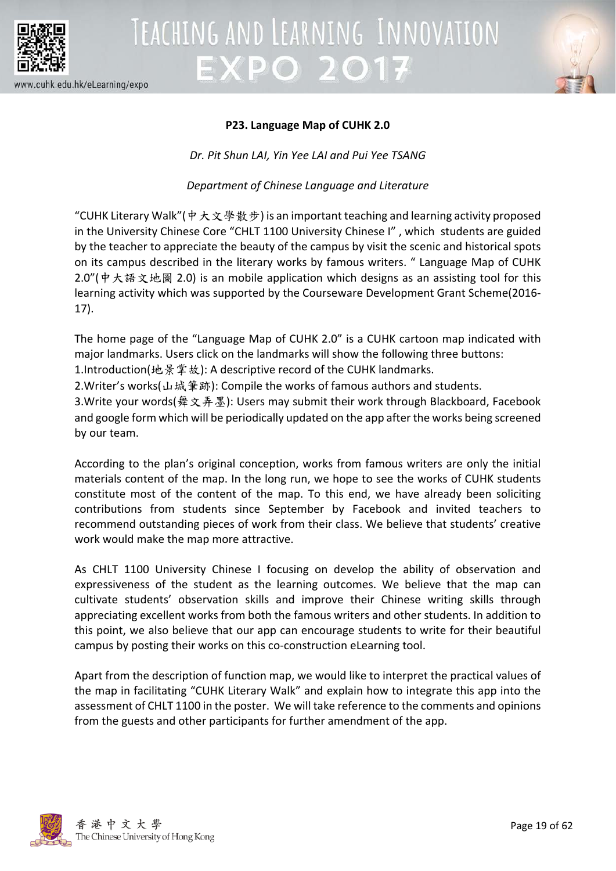



### **P23. Language Map of CUHK 2.0**

*Dr. Pit Shun LAI, Yin Yee LAI and Pui Yee TSANG* 

*Department of Chinese Language and Literature*

"CUHK Literary Walk"(中大文學散步) is an important teaching and learning activity proposed in the University Chinese Core "CHLT 1100 University Chinese I" , which students are guided by the teacher to appreciate the beauty of the campus by visit the scenic and historical spots on its campus described in the literary works by famous writers. " Language Map of CUHK 2.0"(中大語文地圖 2.0) is an mobile application which designs as an assisting tool for this learning activity which was supported by the Courseware Development Grant Scheme(2016- 17).

The home page of the "Language Map of CUHK 2.0" is a CUHK cartoon map indicated with major landmarks. Users click on the landmarks will show the following three buttons:

1.Introduction(地景掌故): A descriptive record of the CUHK landmarks.

2.Writer's works(山城筆跡): Compile the works of famous authors and students.

3.Write your words(舞文弄墨): Users may submit their work through Blackboard, Facebook and google form which will be periodically updated on the app after the works being screened by our team.

According to the plan's original conception, works from famous writers are only the initial materials content of the map. In the long run, we hope to see the works of CUHK students constitute most of the content of the map. To this end, we have already been soliciting contributions from students since September by Facebook and invited teachers to recommend outstanding pieces of work from their class. We believe that students' creative work would make the map more attractive.

As CHLT 1100 University Chinese I focusing on develop the ability of observation and expressiveness of the student as the learning outcomes. We believe that the map can cultivate students' observation skills and improve their Chinese writing skills through appreciating excellent works from both the famous writers and other students. In addition to this point, we also believe that our app can encourage students to write for their beautiful campus by posting their works on this co-construction eLearning tool.

Apart from the description of function map, we would like to interpret the practical values of the map in facilitating "CUHK Literary Walk" and explain how to integrate this app into the assessment of CHLT 1100 in the poster. We will take reference to the comments and opinions from the guests and other participants for further amendment of the app.

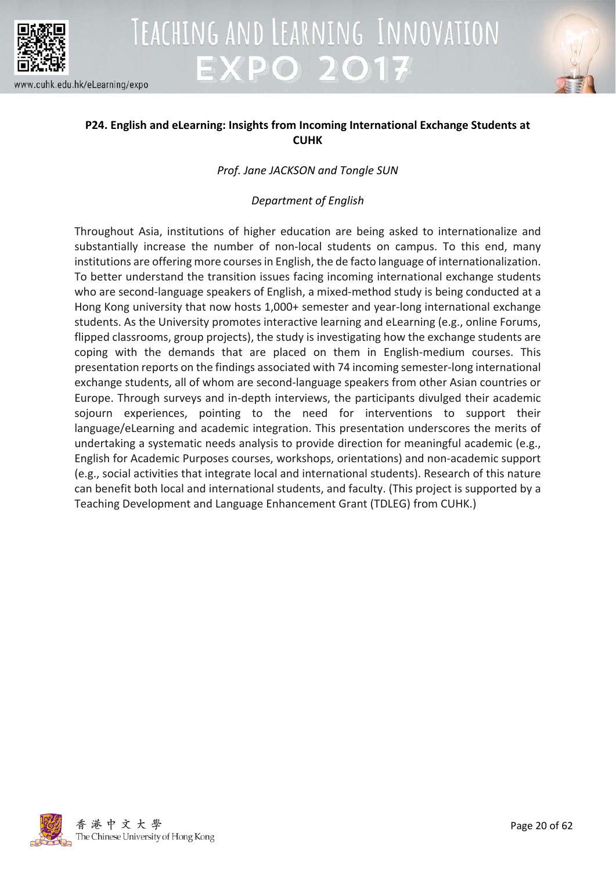



### **P24. English and eLearning: Insights from Incoming International Exchange Students at CUHK**

### *Prof. Jane JACKSON and Tongle SUN*

### *Department of English*

Throughout Asia, institutions of higher education are being asked to internationalize and substantially increase the number of non-local students on campus. To this end, many institutions are offering more courses in English, the de facto language of internationalization. To better understand the transition issues facing incoming international exchange students who are second-language speakers of English, a mixed-method study is being conducted at a Hong Kong university that now hosts 1,000+ semester and year-long international exchange students. As the University promotes interactive learning and eLearning (e.g., online Forums, flipped classrooms, group projects), the study is investigating how the exchange students are coping with the demands that are placed on them in English-medium courses. This presentation reports on the findings associated with 74 incoming semester-long international exchange students, all of whom are second-language speakers from other Asian countries or Europe. Through surveys and in-depth interviews, the participants divulged their academic sojourn experiences, pointing to the need for interventions to support their language/eLearning and academic integration. This presentation underscores the merits of undertaking a systematic needs analysis to provide direction for meaningful academic (e.g., English for Academic Purposes courses, workshops, orientations) and non-academic support (e.g., social activities that integrate local and international students). Research of this nature can benefit both local and international students, and faculty. (This project is supported by a Teaching Development and Language Enhancement Grant (TDLEG) from CUHK.)

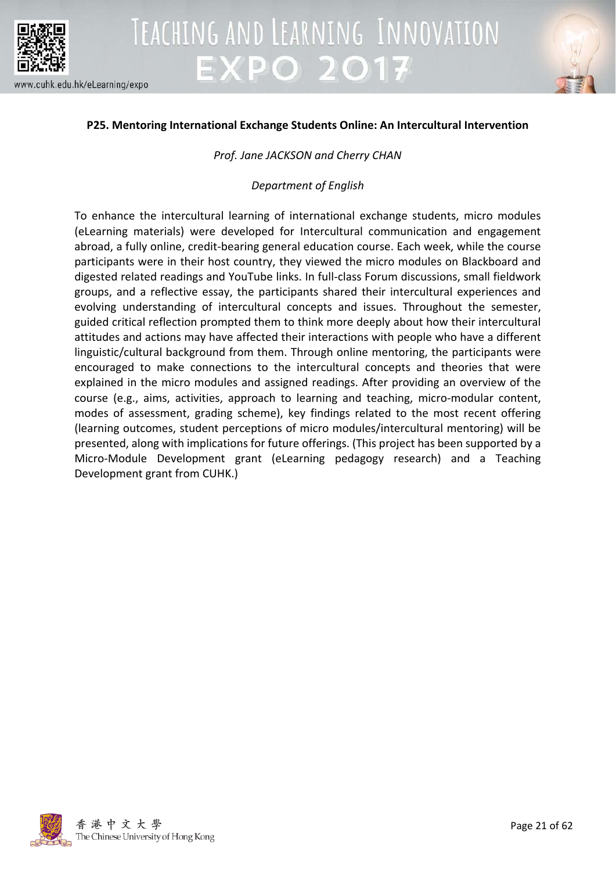



### **P25. Mentoring International Exchange Students Online: An Intercultural Intervention**

*Prof. Jane JACKSON and Cherry CHAN*

*Department of English*

To enhance the intercultural learning of international exchange students, micro modules (eLearning materials) were developed for Intercultural communication and engagement abroad, a fully online, credit-bearing general education course. Each week, while the course participants were in their host country, they viewed the micro modules on Blackboard and digested related readings and YouTube links. In full-class Forum discussions, small fieldwork groups, and a reflective essay, the participants shared their intercultural experiences and evolving understanding of intercultural concepts and issues. Throughout the semester, guided critical reflection prompted them to think more deeply about how their intercultural attitudes and actions may have affected their interactions with people who have a different linguistic/cultural background from them. Through online mentoring, the participants were encouraged to make connections to the intercultural concepts and theories that were explained in the micro modules and assigned readings. After providing an overview of the course (e.g., aims, activities, approach to learning and teaching, micro-modular content, modes of assessment, grading scheme), key findings related to the most recent offering (learning outcomes, student perceptions of micro modules/intercultural mentoring) will be presented, along with implications for future offerings. (This project has been supported by a Micro-Module Development grant (eLearning pedagogy research) and a Teaching Development grant from CUHK.)

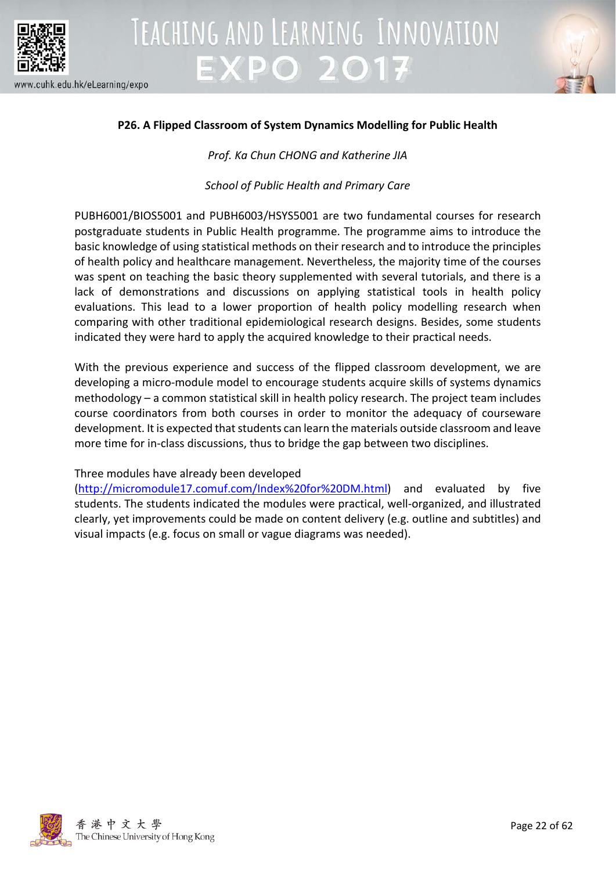



### **P26. A Flipped Classroom of System Dynamics Modelling for Public Health**

*Prof. Ka Chun CHONG and Katherine JIA*

*School of Public Health and Primary Care*

PUBH6001/BIOS5001 and PUBH6003/HSYS5001 are two fundamental courses for research postgraduate students in Public Health programme. The programme aims to introduce the basic knowledge of using statistical methods on their research and to introduce the principles of health policy and healthcare management. Nevertheless, the majority time of the courses was spent on teaching the basic theory supplemented with several tutorials, and there is a lack of demonstrations and discussions on applying statistical tools in health policy evaluations. This lead to a lower proportion of health policy modelling research when comparing with other traditional epidemiological research designs. Besides, some students indicated they were hard to apply the acquired knowledge to their practical needs.

With the previous experience and success of the flipped classroom development, we are developing a micro-module model to encourage students acquire skills of systems dynamics methodology – a common statistical skill in health policy research. The project team includes course coordinators from both courses in order to monitor the adequacy of courseware development. It is expected that students can learn the materials outside classroom and leave more time for in-class discussions, thus to bridge the gap between two disciplines.

### Three modules have already been developed

[\(http://micromodule17.comuf.com/Index%20for%20DM.html\)](http://micromodule17.comuf.com/Index%20for%20DM.html) and evaluated by five students. The students indicated the modules were practical, well-organized, and illustrated clearly, yet improvements could be made on content delivery (e.g. outline and subtitles) and visual impacts (e.g. focus on small or vague diagrams was needed).

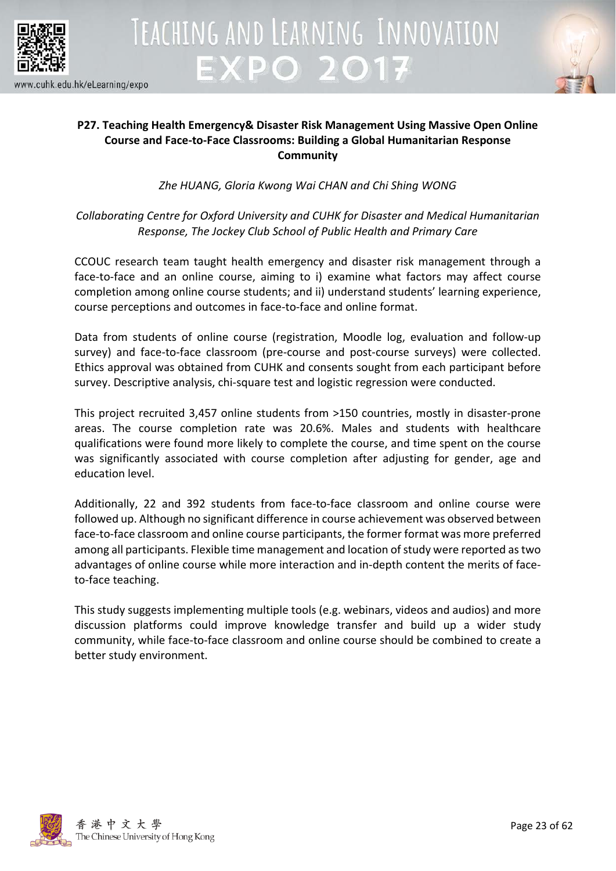



### **P27. Teaching Health Emergency& Disaster Risk Management Using Massive Open Online Course and Face-to-Face Classrooms: Building a Global Humanitarian Response Community**

*Zhe HUANG, Gloria Kwong Wai CHAN and Chi Shing WONG*

*Collaborating Centre for Oxford University and CUHK for Disaster and Medical Humanitarian Response, The Jockey Club School of Public Health and Primary Care*

CCOUC research team taught health emergency and disaster risk management through a face-to-face and an online course, aiming to i) examine what factors may affect course completion among online course students; and ii) understand students' learning experience, course perceptions and outcomes in face-to-face and online format.

Data from students of online course (registration, Moodle log, evaluation and follow-up survey) and face-to-face classroom (pre-course and post-course surveys) were collected. Ethics approval was obtained from CUHK and consents sought from each participant before survey. Descriptive analysis, chi-square test and logistic regression were conducted.

This project recruited 3,457 online students from >150 countries, mostly in disaster-prone areas. The course completion rate was 20.6%. Males and students with healthcare qualifications were found more likely to complete the course, and time spent on the course was significantly associated with course completion after adjusting for gender, age and education level.

Additionally, 22 and 392 students from face-to-face classroom and online course were followed up. Although no significant difference in course achievement was observed between face-to-face classroom and online course participants, the former format was more preferred among all participants. Flexible time management and location of study were reported as two advantages of online course while more interaction and in-depth content the merits of faceto-face teaching.

This study suggests implementing multiple tools (e.g. webinars, videos and audios) and more discussion platforms could improve knowledge transfer and build up a wider study community, while face-to-face classroom and online course should be combined to create a better study environment.

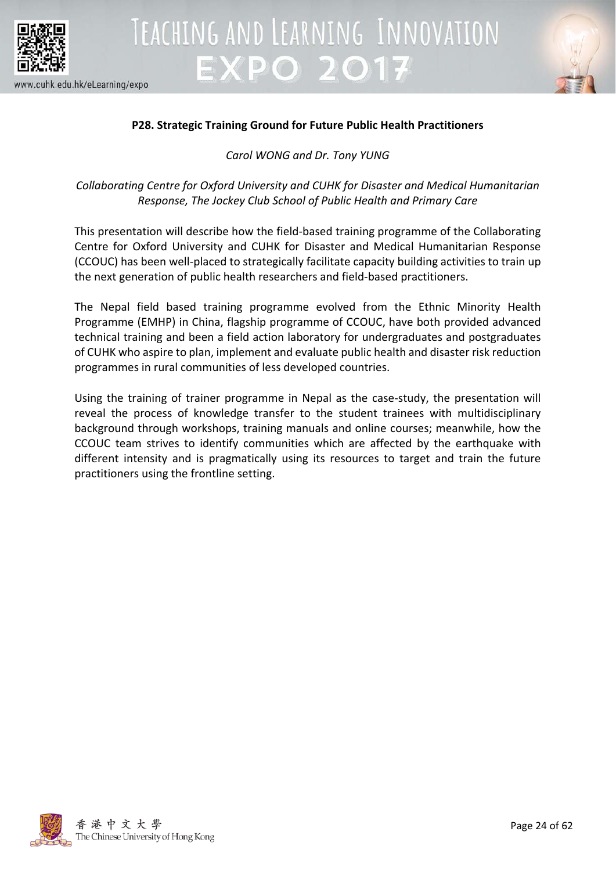



### **P28. Strategic Training Ground for Future Public Health Practitioners**

*Carol WONG and Dr. Tony YUNG*

*Collaborating Centre for Oxford University and CUHK for Disaster and Medical Humanitarian Response, The Jockey Club School of Public Health and Primary Care*

This presentation will describe how the field-based training programme of the Collaborating Centre for Oxford University and CUHK for Disaster and Medical Humanitarian Response (CCOUC) has been well-placed to strategically facilitate capacity building activities to train up the next generation of public health researchers and field-based practitioners.

The Nepal field based training programme evolved from the Ethnic Minority Health Programme (EMHP) in China, flagship programme of CCOUC, have both provided advanced technical training and been a field action laboratory for undergraduates and postgraduates of CUHK who aspire to plan, implement and evaluate public health and disaster risk reduction programmes in rural communities of less developed countries.

Using the training of trainer programme in Nepal as the case-study, the presentation will reveal the process of knowledge transfer to the student trainees with multidisciplinary background through workshops, training manuals and online courses; meanwhile, how the CCOUC team strives to identify communities which are affected by the earthquake with different intensity and is pragmatically using its resources to target and train the future practitioners using the frontline setting.

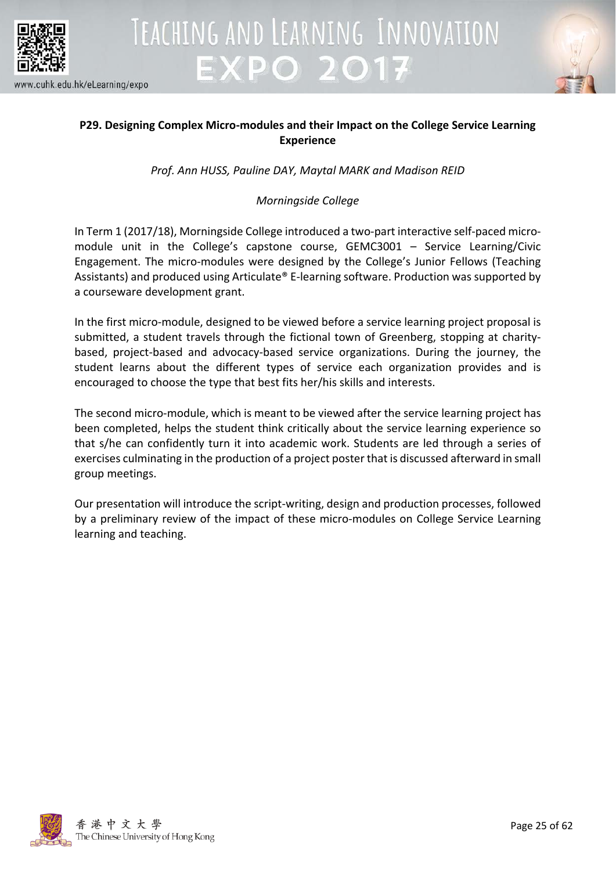



### **P29. Designing Complex Micro-modules and their Impact on the College Service Learning Experience**

*Prof. Ann HUSS, Pauline DAY, Maytal MARK and Madison REID*

### *Morningside College*

In Term 1 (2017/18), Morningside College introduced a two-part interactive self-paced micromodule unit in the College's capstone course, GEMC3001 – Service Learning/Civic Engagement. The micro-modules were designed by the College's Junior Fellows (Teaching Assistants) and produced using Articulate® E-learning software. Production was supported by a courseware development grant.

In the first micro-module, designed to be viewed before a service learning project proposal is submitted, a student travels through the fictional town of Greenberg, stopping at charitybased, project-based and advocacy-based service organizations. During the journey, the student learns about the different types of service each organization provides and is encouraged to choose the type that best fits her/his skills and interests.

The second micro-module, which is meant to be viewed after the service learning project has been completed, helps the student think critically about the service learning experience so that s/he can confidently turn it into academic work. Students are led through a series of exercises culminating in the production of a project poster that is discussed afterward in small group meetings.

Our presentation will introduce the script-writing, design and production processes, followed by a preliminary review of the impact of these micro-modules on College Service Learning learning and teaching.

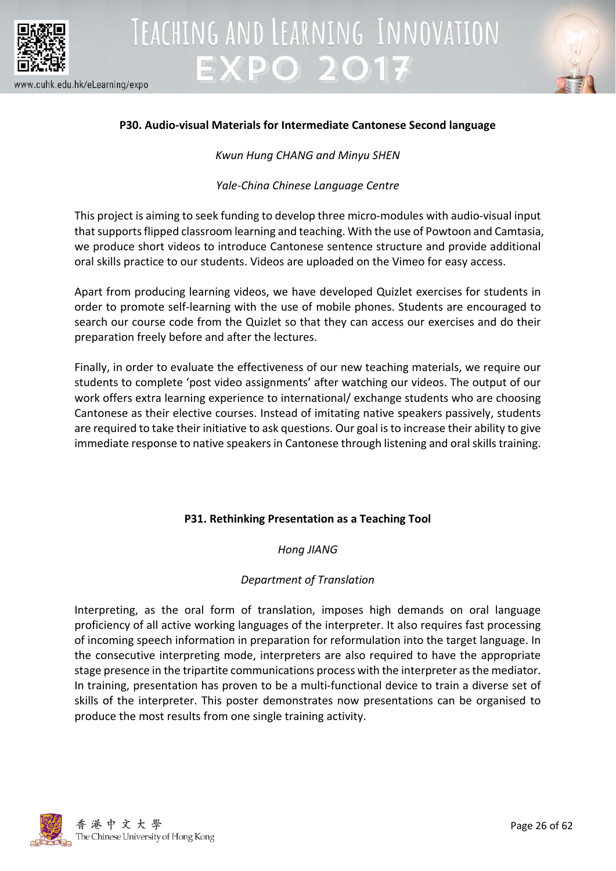



### **P30. Audio-visual Materials for Intermediate Cantonese Second language**

*Kwun Hung CHANG and Minyu SHEN*

*Yale-China Chinese Language Centre*

This project is aiming to seek funding to develop three micro-modules with audio-visual input that supports flipped classroom learning and teaching. With the use of Powtoon and Camtasia, we produce short videos to introduce Cantonese sentence structure and provide additional oral skills practice to our students. Videos are uploaded on the Vimeo for easy access.

Apart from producing learning videos, we have developed Quizlet exercises for students in order to promote self-learning with the use of mobile phones. Students are encouraged to search our course code from the Quizlet so that they can access our exercises and do their preparation freely before and after the lectures.

Finally, in order to evaluate the effectiveness of our new teaching materials, we require our students to complete 'post video assignments' after watching our videos. The output of our work offers extra learning experience to international/ exchange students who are choosing Cantonese as their elective courses. Instead of imitating native speakers passively, students are required to take their initiative to ask questions. Our goal is to increase their ability to give immediate response to native speakers in Cantonese through listening and oral skills training.

### **P31. Rethinking Presentation as a Teaching Tool**

*Hong JIANG*

### *Department of Translation*

Interpreting, as the oral form of translation, imposes high demands on oral language proficiency of all active working languages of the interpreter. It also requires fast processing of incoming speech information in preparation for reformulation into the target language. In the consecutive interpreting mode, interpreters are also required to have the appropriate stage presence in the tripartite communications process with the interpreter as the mediator. In training, presentation has proven to be a multi-functional device to train a diverse set of skills of the interpreter. This poster demonstrates now presentations can be organised to produce the most results from one single training activity.

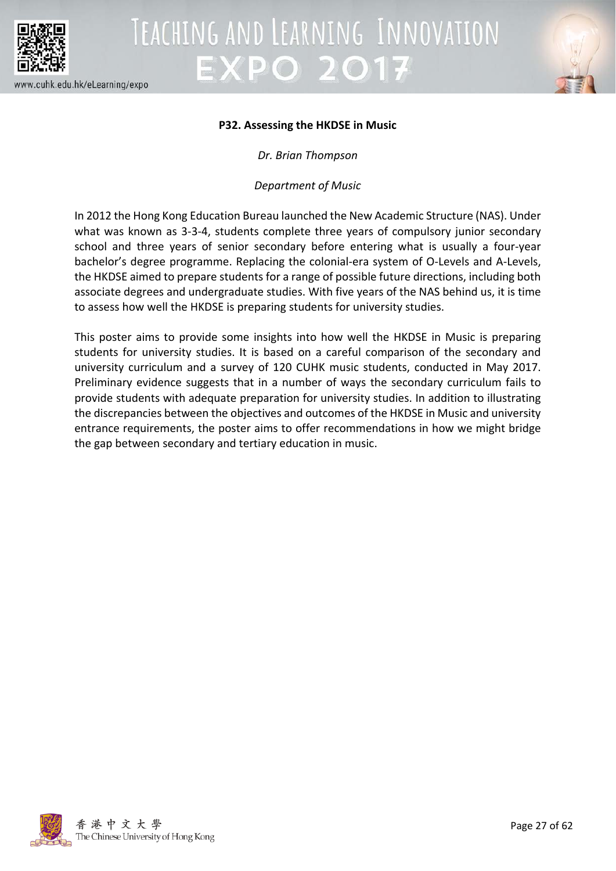



### **P32. Assessing the HKDSE in Music**

*Dr. Brian Thompson*

*Department of Music*

In 2012 the Hong Kong Education Bureau launched the New Academic Structure (NAS). Under what was known as 3-3-4, students complete three years of compulsory junior secondary school and three years of senior secondary before entering what is usually a four-year bachelor's degree programme. Replacing the colonial-era system of O-Levels and A-Levels, the HKDSE aimed to prepare students for a range of possible future directions, including both associate degrees and undergraduate studies. With five years of the NAS behind us, it is time to assess how well the HKDSE is preparing students for university studies.

This poster aims to provide some insights into how well the HKDSE in Music is preparing students for university studies. It is based on a careful comparison of the secondary and university curriculum and a survey of 120 CUHK music students, conducted in May 2017. Preliminary evidence suggests that in a number of ways the secondary curriculum fails to provide students with adequate preparation for university studies. In addition to illustrating the discrepancies between the objectives and outcomes of the HKDSE in Music and university entrance requirements, the poster aims to offer recommendations in how we might bridge the gap between secondary and tertiary education in music.

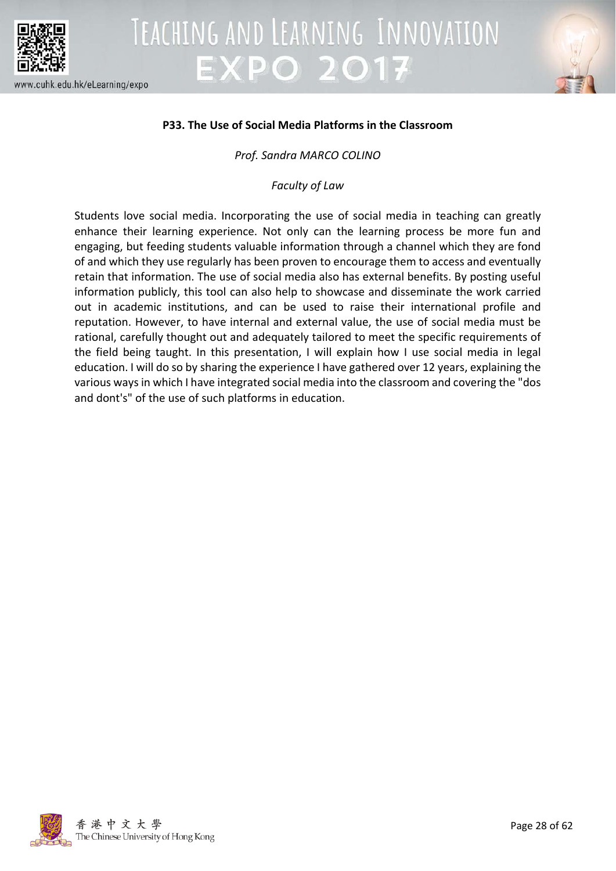



### **P33. The Use of Social Media Platforms in the Classroom**

### *Prof. Sandra MARCO COLINO*

*Faculty of Law*

Students love social media. Incorporating the use of social media in teaching can greatly enhance their learning experience. Not only can the learning process be more fun and engaging, but feeding students valuable information through a channel which they are fond of and which they use regularly has been proven to encourage them to access and eventually retain that information. The use of social media also has external benefits. By posting useful information publicly, this tool can also help to showcase and disseminate the work carried out in academic institutions, and can be used to raise their international profile and reputation. However, to have internal and external value, the use of social media must be rational, carefully thought out and adequately tailored to meet the specific requirements of the field being taught. In this presentation, I will explain how I use social media in legal education. I will do so by sharing the experience I have gathered over 12 years, explaining the various ways in which I have integrated social media into the classroom and covering the "dos and dont's" of the use of such platforms in education.

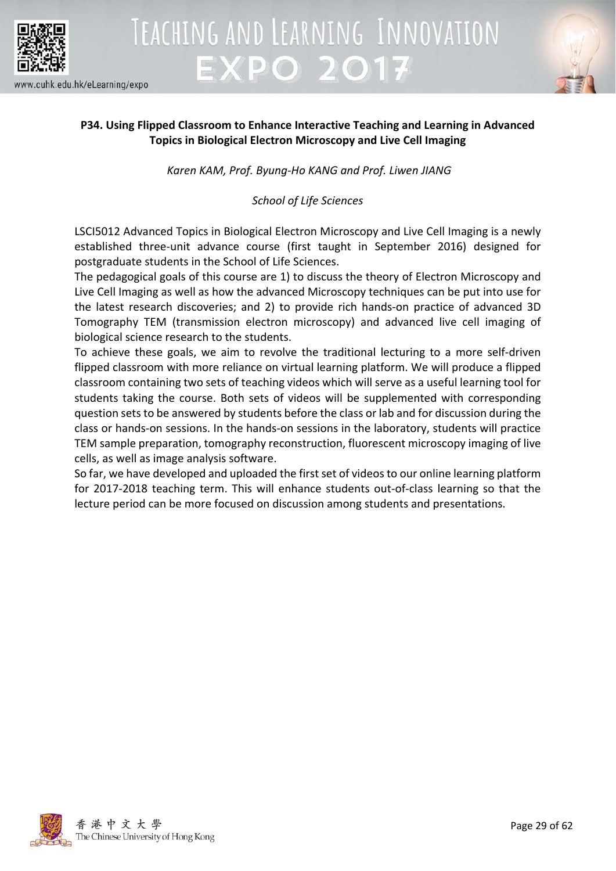



### **P34. Using Flipped Classroom to Enhance Interactive Teaching and Learning in Advanced Topics in Biological Electron Microscopy and Live Cell Imaging**

*Karen KAM, Prof. Byung-Ho KANG and Prof. Liwen JIANG*

*School of Life Sciences*

LSCI5012 Advanced Topics in Biological Electron Microscopy and Live Cell Imaging is a newly established three-unit advance course (first taught in September 2016) designed for postgraduate students in the School of Life Sciences.

The pedagogical goals of this course are 1) to discuss the theory of Electron Microscopy and Live Cell Imaging as well as how the advanced Microscopy techniques can be put into use for the latest research discoveries; and 2) to provide rich hands-on practice of advanced 3D Tomography TEM (transmission electron microscopy) and advanced live cell imaging of biological science research to the students.

To achieve these goals, we aim to revolve the traditional lecturing to a more self-driven flipped classroom with more reliance on virtual learning platform. We will produce a flipped classroom containing two sets of teaching videos which will serve as a useful learning tool for students taking the course. Both sets of videos will be supplemented with corresponding question sets to be answered by students before the class or lab and for discussion during the class or hands-on sessions. In the hands-on sessions in the laboratory, students will practice TEM sample preparation, tomography reconstruction, fluorescent microscopy imaging of live cells, as well as image analysis software.

So far, we have developed and uploaded the first set of videos to our online learning platform for 2017-2018 teaching term. This will enhance students out-of-class learning so that the lecture period can be more focused on discussion among students and presentations.

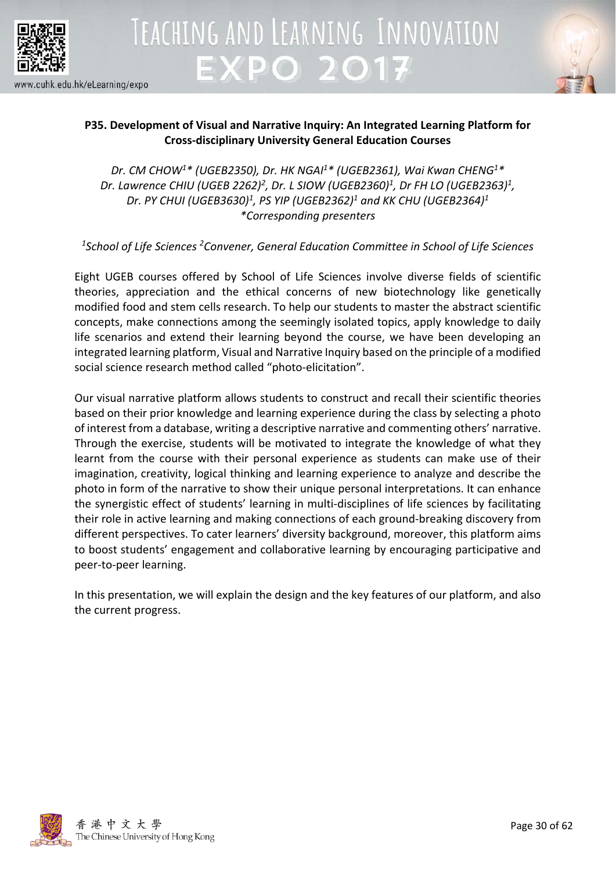



### **P35. Development of Visual and Narrative Inquiry: An Integrated Learning Platform for Cross-disciplinary University General Education Courses**

*Dr. CM CHOW1\* (UGEB2350), Dr. HK NGAI1 \* (UGEB2361), Wai Kwan CHENG1 \* Dr. Lawrence CHIU (UGEB 2262)2 , Dr. L SIOW (UGEB2360)1, Dr FH LO (UGEB2363)1 , Dr. PY CHUI (UGEB3630)1, PS YIP (UGEB2362)1 and KK CHU (UGEB2364)1 \*Corresponding presenters*

*1School of Life Sciences 2Convener, General Education Committee in School of Life Sciences*

Eight UGEB courses offered by School of Life Sciences involve diverse fields of scientific theories, appreciation and the ethical concerns of new biotechnology like genetically modified food and stem cells research. To help our students to master the abstract scientific concepts, make connections among the seemingly isolated topics, apply knowledge to daily life scenarios and extend their learning beyond the course, we have been developing an integrated learning platform, Visual and Narrative Inquiry based on the principle of a modified social science research method called "photo-elicitation".

Our visual narrative platform allows students to construct and recall their scientific theories based on their prior knowledge and learning experience during the class by selecting a photo of interest from a database, writing a descriptive narrative and commenting others' narrative. Through the exercise, students will be motivated to integrate the knowledge of what they learnt from the course with their personal experience as students can make use of their imagination, creativity, logical thinking and learning experience to analyze and describe the photo in form of the narrative to show their unique personal interpretations. It can enhance the synergistic effect of students' learning in multi-disciplines of life sciences by facilitating their role in active learning and making connections of each ground-breaking discovery from different perspectives. To cater learners' diversity background, moreover, this platform aims to boost students' engagement and collaborative learning by encouraging participative and peer-to-peer learning.

In this presentation, we will explain the design and the key features of our platform, and also the current progress.

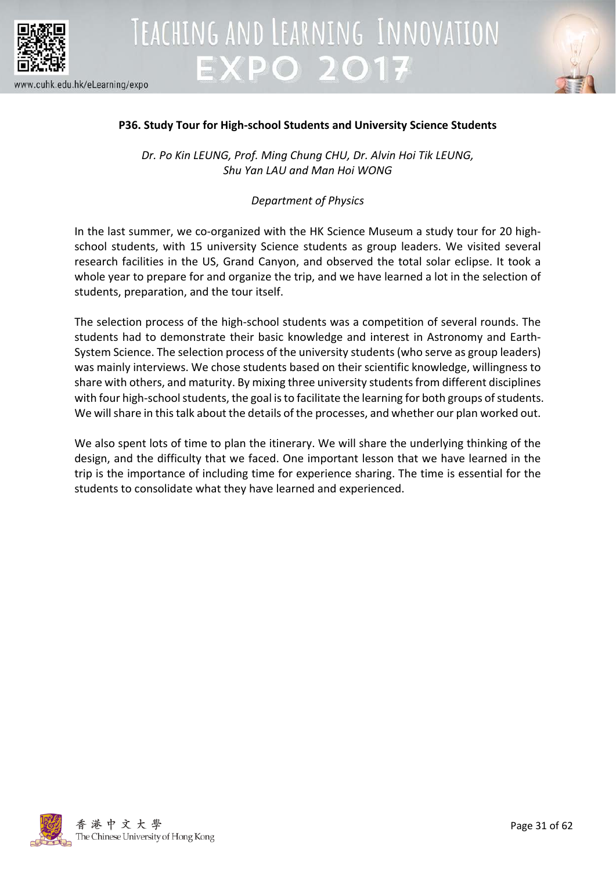



### **P36. Study Tour for High-school Students and University Science Students**

*Dr. Po Kin LEUNG, Prof. Ming Chung CHU, Dr. Alvin Hoi Tik LEUNG, Shu Yan LAU and Man Hoi WONG*

### *Department of Physics*

In the last summer, we co-organized with the HK Science Museum a study tour for 20 highschool students, with 15 university Science students as group leaders. We visited several research facilities in the US, Grand Canyon, and observed the total solar eclipse. It took a whole year to prepare for and organize the trip, and we have learned a lot in the selection of students, preparation, and the tour itself.

The selection process of the high-school students was a competition of several rounds. The students had to demonstrate their basic knowledge and interest in Astronomy and Earth-System Science. The selection process of the university students (who serve as group leaders) was mainly interviews. We chose students based on their scientific knowledge, willingness to share with others, and maturity. By mixing three university students from different disciplines with four high-school students, the goal is to facilitate the learning for both groups of students. We will share in this talk about the details of the processes, and whether our plan worked out.

We also spent lots of time to plan the itinerary. We will share the underlying thinking of the design, and the difficulty that we faced. One important lesson that we have learned in the trip is the importance of including time for experience sharing. The time is essential for the students to consolidate what they have learned and experienced.

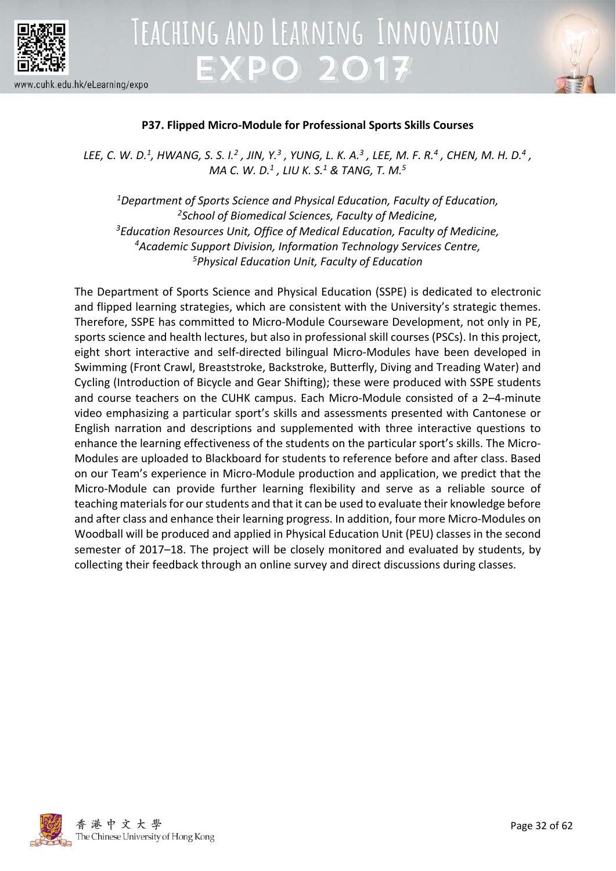



### **P37. Flipped Micro-Module for Professional Sports Skills Courses**

*LEE, C. W. D.1 , HWANG, S. S. I.2 , JIN, Y.3 , YUNG, L. K. A.3 , LEE, M. F. R.4 , CHEN, M. H. D.4 , MA C. W. D.1 , LIU K. S.1 & TANG, T. M.5*

*1Department of Sports Science and Physical Education, Faculty of Education, 2School of Biomedical Sciences, Faculty of Medicine, 3 Education Resources Unit, Office of Medical Education, Faculty of Medicine, 4Academic Support Division, Information Technology Services Centre, 5Physical Education Unit, Faculty of Education*

The Department of Sports Science and Physical Education (SSPE) is dedicated to electronic and flipped learning strategies, which are consistent with the University's strategic themes. Therefore, SSPE has committed to Micro-Module Courseware Development, not only in PE, sports science and health lectures, but also in professional skill courses (PSCs). In this project, eight short interactive and self-directed bilingual Micro-Modules have been developed in Swimming (Front Crawl, Breaststroke, Backstroke, Butterfly, Diving and Treading Water) and Cycling (Introduction of Bicycle and Gear Shifting); these were produced with SSPE students and course teachers on the CUHK campus. Each Micro-Module consisted of a 2–4-minute video emphasizing a particular sport's skills and assessments presented with Cantonese or English narration and descriptions and supplemented with three interactive questions to enhance the learning effectiveness of the students on the particular sport's skills. The Micro-Modules are uploaded to Blackboard for students to reference before and after class. Based on our Team's experience in Micro-Module production and application, we predict that the Micro-Module can provide further learning flexibility and serve as a reliable source of teaching materials for our students and that it can be used to evaluate their knowledge before and after class and enhance their learning progress. In addition, four more Micro-Modules on Woodball will be produced and applied in Physical Education Unit (PEU) classes in the second semester of 2017–18. The project will be closely monitored and evaluated by students, by collecting their feedback through an online survey and direct discussions during classes.

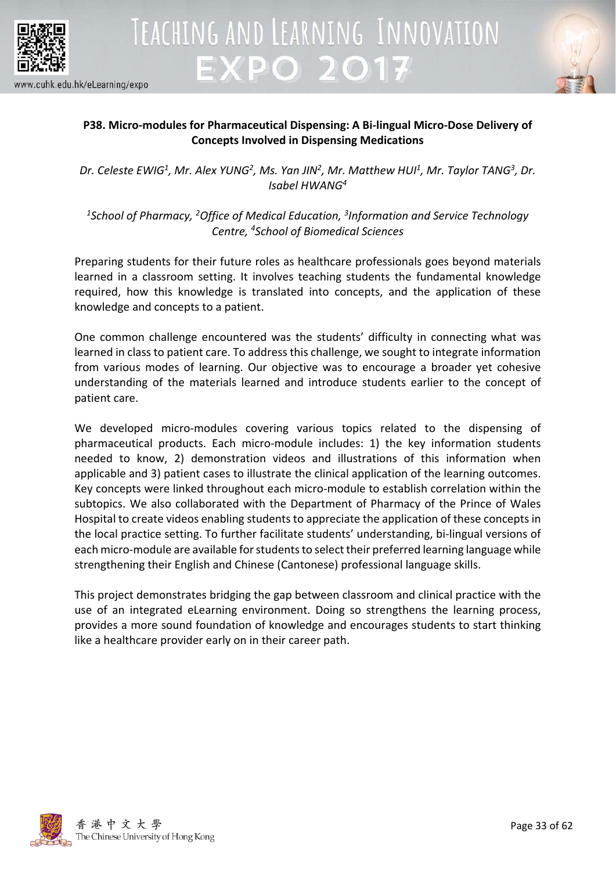



### **P38. Micro-modules for Pharmaceutical Dispensing: A Bi-lingual Micro-Dose Delivery of Concepts Involved in Dispensing Medications**

Dr. Celeste EWIG<sup>1</sup>, Mr. Alex YUNG<sup>2</sup>, Ms. Yan JIN<sup>2</sup>, Mr. Matthew HUI<sup>1</sup>, Mr. Taylor TANG<sup>3</sup>, Dr. *Isabel HWANG4*

*1School of Pharmacy, 2Office of Medical Education, 3Information and Service Technology Centre, 4 School of Biomedical Sciences*

Preparing students for their future roles as healthcare professionals goes beyond materials learned in a classroom setting. It involves teaching students the fundamental knowledge required, how this knowledge is translated into concepts, and the application of these knowledge and concepts to a patient.

One common challenge encountered was the students' difficulty in connecting what was learned in class to patient care. To address this challenge, we sought to integrate information from various modes of learning. Our objective was to encourage a broader yet cohesive understanding of the materials learned and introduce students earlier to the concept of patient care.

We developed micro-modules covering various topics related to the dispensing of pharmaceutical products. Each micro-module includes: 1) the key information students needed to know, 2) demonstration videos and illustrations of this information when applicable and 3) patient cases to illustrate the clinical application of the learning outcomes. Key concepts were linked throughout each micro-module to establish correlation within the subtopics. We also collaborated with the Department of Pharmacy of the Prince of Wales Hospital to create videos enabling students to appreciate the application of these concepts in the local practice setting. To further facilitate students' understanding, bi-lingual versions of each micro-module are available for students to select their preferred learning language while strengthening their English and Chinese (Cantonese) professional language skills.

This project demonstrates bridging the gap between classroom and clinical practice with the use of an integrated eLearning environment. Doing so strengthens the learning process, provides a more sound foundation of knowledge and encourages students to start thinking like a healthcare provider early on in their career path.

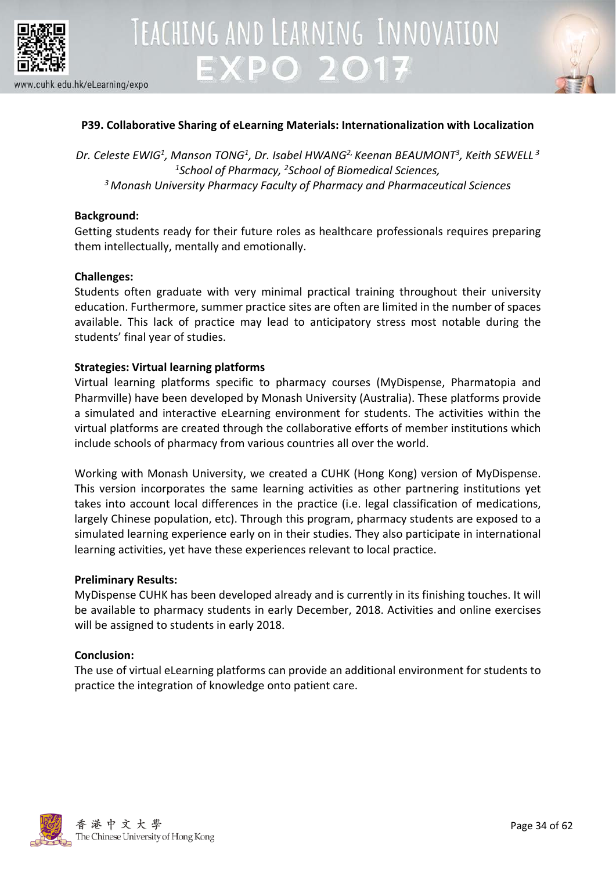



### **P39. Collaborative Sharing of eLearning Materials: Internationalization with Localization**

*Dr. Celeste EWIG1 , Manson TONG1, Dr. Isabel HWANG2, Keenan BEAUMONT3 , Keith SEWELL <sup>3</sup> 1 School of Pharmacy, 2 School of Biomedical Sciences, 3 Monash University Pharmacy Faculty of Pharmacy and Pharmaceutical Sciences*

### **Background:**

Getting students ready for their future roles as healthcare professionals requires preparing them intellectually, mentally and emotionally.

### **Challenges:**

Students often graduate with very minimal practical training throughout their university education. Furthermore, summer practice sites are often are limited in the number of spaces available. This lack of practice may lead to anticipatory stress most notable during the students' final year of studies.

### **Strategies: Virtual learning platforms**

Virtual learning platforms specific to pharmacy courses (MyDispense, Pharmatopia and Pharmville) have been developed by Monash University (Australia). These platforms provide a simulated and interactive eLearning environment for students. The activities within the virtual platforms are created through the collaborative efforts of member institutions which include schools of pharmacy from various countries all over the world.

Working with Monash University, we created a CUHK (Hong Kong) version of MyDispense. This version incorporates the same learning activities as other partnering institutions yet takes into account local differences in the practice (i.e. legal classification of medications, largely Chinese population, etc). Through this program, pharmacy students are exposed to a simulated learning experience early on in their studies. They also participate in international learning activities, yet have these experiences relevant to local practice.

### **Preliminary Results:**

MyDispense CUHK has been developed already and is currently in its finishing touches. It will be available to pharmacy students in early December, 2018. Activities and online exercises will be assigned to students in early 2018.

### **Conclusion:**

The use of virtual eLearning platforms can provide an additional environment for students to practice the integration of knowledge onto patient care.

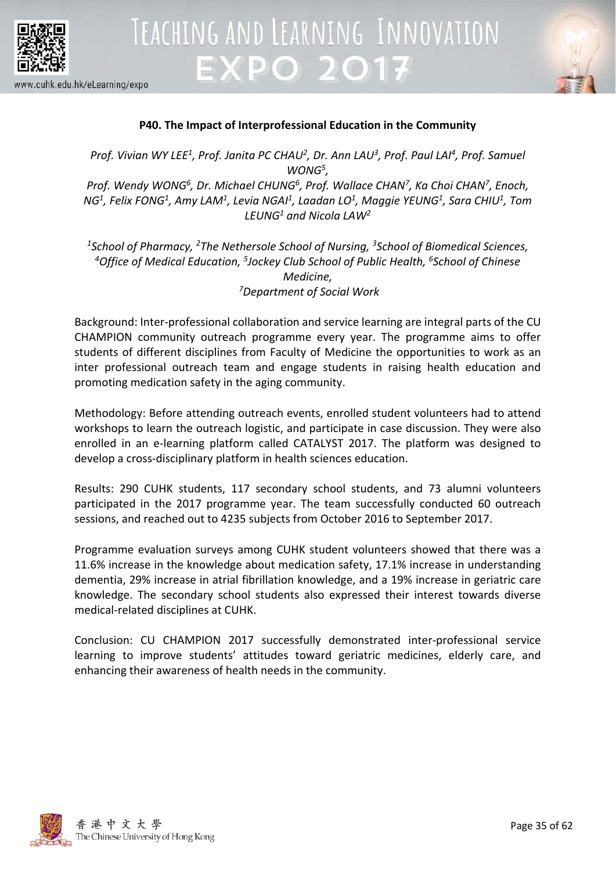

# TEACHING AND LEARNING INNOVATION **EXPO 2017**



www.cuhk.edu.hk/eLearning/expo

### **P40. The Impact of Interprofessional Education in the Community**

Prof. Vivian WY LEE<sup>1</sup>, Prof. Janita PC CHAU<sup>2</sup>, Dr. Ann LAU<sup>3</sup>, Prof. Paul LAI<sup>4</sup>, Prof. Samuel *WONG5,*  Prof. Wendy WONG<sup>6</sup>, Dr. Michael CHUNG<sup>6</sup>, Prof. Wallace CHAN<sup>7</sup>, Ka Choi CHAN<sup>7</sup>, Enoch, *NG1, Felix FONG1, Amy LAM1, Levia NGAI1, Laadan LO1, Maggie YEUNG1, Sara CHIU1, Tom LEUNG1 and Nicola LAW2*

*1School of Pharmacy, 2The Nethersole School of Nursing, 3School of Biomedical Sciences, 4 Office of Medical Education, 5 Jockey Club School of Public Health, 6 School of Chinese Medicine, 7Department of Social Work*

Background: Inter-professional collaboration and service learning are integral parts of the CU CHAMPION community outreach programme every year. The programme aims to offer students of different disciplines from Faculty of Medicine the opportunities to work as an inter professional outreach team and engage students in raising health education and promoting medication safety in the aging community.

Methodology: Before attending outreach events, enrolled student volunteers had to attend workshops to learn the outreach logistic, and participate in case discussion. They were also enrolled in an e-learning platform called CATALYST 2017. The platform was designed to develop a cross-disciplinary platform in health sciences education.

Results: 290 CUHK students, 117 secondary school students, and 73 alumni volunteers participated in the 2017 programme year. The team successfully conducted 60 outreach sessions, and reached out to 4235 subjects from October 2016 to September 2017.

Programme evaluation surveys among CUHK student volunteers showed that there was a 11.6% increase in the knowledge about medication safety, 17.1% increase in understanding dementia, 29% increase in atrial fibrillation knowledge, and a 19% increase in geriatric care knowledge. The secondary school students also expressed their interest towards diverse medical-related disciplines at CUHK.

Conclusion: CU CHAMPION 2017 successfully demonstrated inter-professional service learning to improve students' attitudes toward geriatric medicines, elderly care, and enhancing their awareness of health needs in the community.

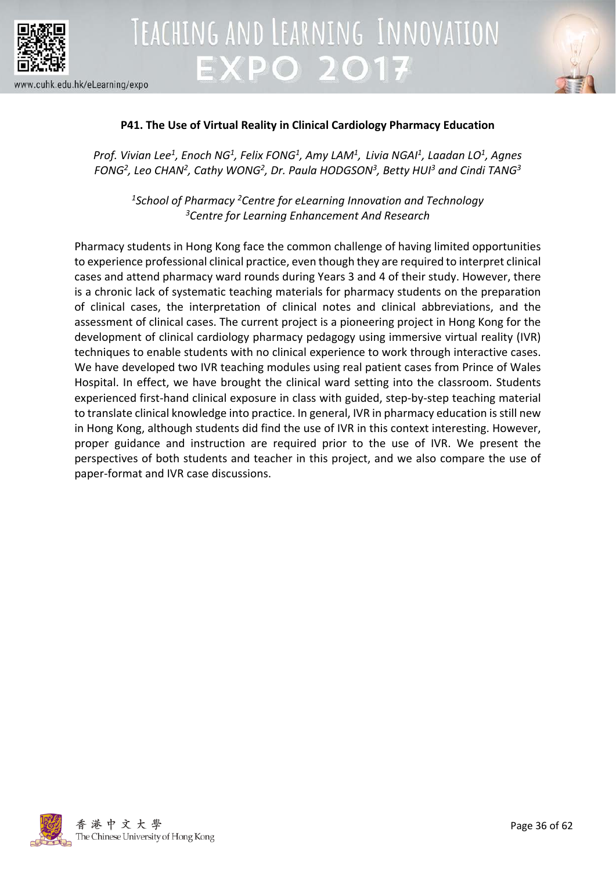



### **P41. The Use of Virtual Reality in Clinical Cardiology Pharmacy Education**

*Prof. Vivian Lee1 , Enoch NG1 , Felix FONG1, Amy LAM1 , Livia NGAI1 , Laadan LO1, Agnes*  FONG<sup>2</sup>, Leo CHAN<sup>2</sup>, Cathy WONG<sup>2</sup>, Dr. Paula HODGSON<sup>3</sup>, Betty HUI<sup>3</sup> and Cindi TANG<sup>3</sup>

*1School of Pharmacy 2Centre for eLearning Innovation and Technology 3Centre for Learning Enhancement And Research*

Pharmacy students in Hong Kong face the common challenge of having limited opportunities to experience professional clinical practice, even though they are required to interpret clinical cases and attend pharmacy ward rounds during Years 3 and 4 of their study. However, there is a chronic lack of systematic teaching materials for pharmacy students on the preparation of clinical cases, the interpretation of clinical notes and clinical abbreviations, and the assessment of clinical cases. The current project is a pioneering project in Hong Kong for the development of clinical cardiology pharmacy pedagogy using immersive virtual reality (IVR) techniques to enable students with no clinical experience to work through interactive cases. We have developed two IVR teaching modules using real patient cases from Prince of Wales Hospital. In effect, we have brought the clinical ward setting into the classroom. Students experienced first-hand clinical exposure in class with guided, step-by-step teaching material to translate clinical knowledge into practice. In general, IVR in pharmacy education is still new in Hong Kong, although students did find the use of IVR in this context interesting. However, proper guidance and instruction are required prior to the use of IVR. We present the perspectives of both students and teacher in this project, and we also compare the use of paper-format and IVR case discussions.

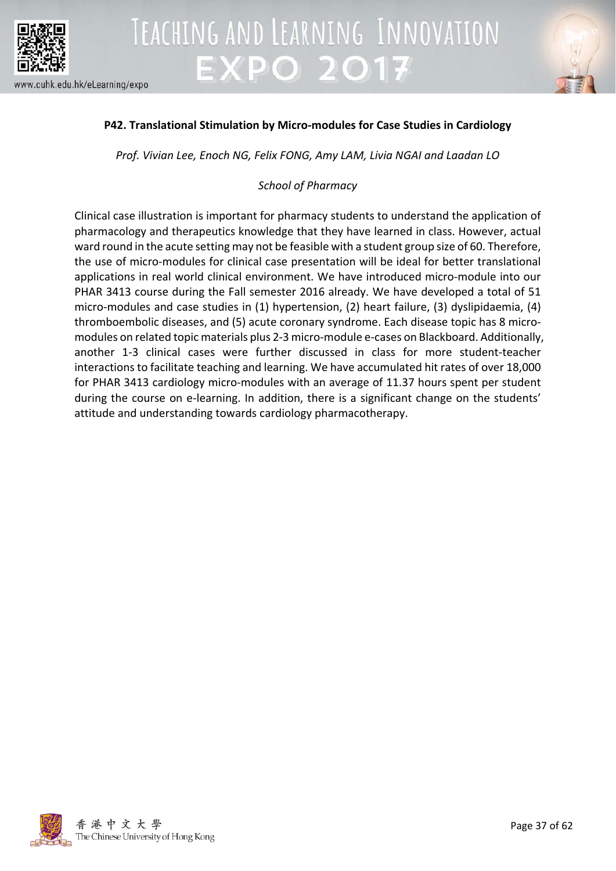



### **P42. Translational Stimulation by Micro-modules for Case Studies in Cardiology**

*Prof. Vivian Lee, Enoch NG, Felix FONG, Amy LAM, Livia NGAI and Laadan LO*

### *School of Pharmacy*

Clinical case illustration is important for pharmacy students to understand the application of pharmacology and therapeutics knowledge that they have learned in class. However, actual ward round in the acute setting may not be feasible with a student group size of 60. Therefore, the use of micro-modules for clinical case presentation will be ideal for better translational applications in real world clinical environment. We have introduced micro-module into our PHAR 3413 course during the Fall semester 2016 already. We have developed a total of 51 micro-modules and case studies in (1) hypertension, (2) heart failure, (3) dyslipidaemia, (4) thromboembolic diseases, and (5) acute coronary syndrome. Each disease topic has 8 micromodules on related topic materials plus 2-3 micro-module e-cases on Blackboard. Additionally, another 1-3 clinical cases were further discussed in class for more student-teacher interactions to facilitate teaching and learning. We have accumulated hit rates of over 18,000 for PHAR 3413 cardiology micro-modules with an average of 11.37 hours spent per student during the course on e-learning. In addition, there is a significant change on the students' attitude and understanding towards cardiology pharmacotherapy.

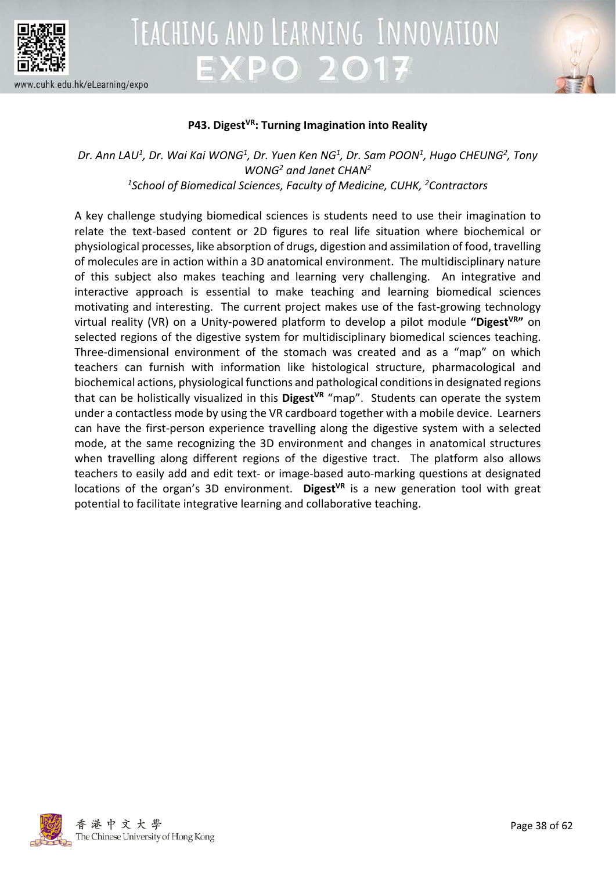

## TEACHING AND LEARNING INNOVATION **EXPO 2017**



#### www.cuhk.edu.hk/eLearning/expo

#### P43. Digest<sup>VR</sup>: Turning Imagination into Reality

Dr. Ann LAU<sup>1</sup>, Dr. Wai Kai WONG<sup>1</sup>, Dr. Yuen Ken NG<sup>1</sup>, Dr. Sam POON<sup>1</sup>, Hugo CHEUNG<sup>2</sup>, Tony *WONG2 and Janet CHAN2 1 School of Biomedical Sciences, Faculty of Medicine, CUHK, <sup>2</sup> Contractors*

A key challenge studying biomedical sciences is students need to use their imagination to relate the text-based content or 2D figures to real life situation where biochemical or physiological processes, like absorption of drugs, digestion and assimilation of food, travelling of molecules are in action within a 3D anatomical environment. The multidisciplinary nature of this subject also makes teaching and learning very challenging. An integrative and interactive approach is essential to make teaching and learning biomedical sciences motivating and interesting. The current project makes use of the fast-growing technology virtual reality (VR) on a Unity-powered platform to develop a pilot module "Digest<sup>VR</sup>" on selected regions of the digestive system for multidisciplinary biomedical sciences teaching. Three-dimensional environment of the stomach was created and as a "map" on which teachers can furnish with information like histological structure, pharmacological and biochemical actions, physiological functions and pathological conditions in designated regions that can be holistically visualized in this Digest<sup>VR</sup> "map". Students can operate the system under a contactless mode by using the VR cardboard together with a mobile device. Learners can have the first-person experience travelling along the digestive system with a selected mode, at the same recognizing the 3D environment and changes in anatomical structures when travelling along different regions of the digestive tract. The platform also allows teachers to easily add and edit text- or image-based auto-marking questions at designated locations of the organ's 3D environment. Digest<sup>VR</sup> is a new generation tool with great potential to facilitate integrative learning and collaborative teaching.

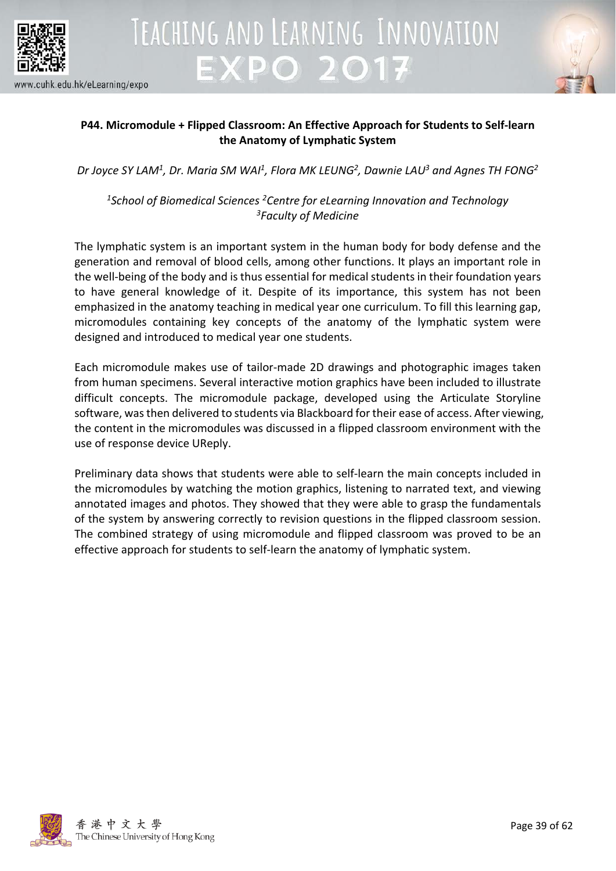



### **P44. Micromodule + Flipped Classroom: An Effective Approach for Students to Self-learn the Anatomy of Lymphatic System**

*Dr Joyce SY LAM1 , Dr. Maria SM WAI1 , Flora MK LEUNG2 , Dawnie LAU3 and Agnes TH FONG2*

*1School of Biomedical Sciences 2Centre for eLearning Innovation and Technology 3Faculty of Medicine*

The lymphatic system is an important system in the human body for body defense and the generation and removal of blood cells, among other functions. It plays an important role in the well-being of the body and is thus essential for medical students in their foundation years to have general knowledge of it. Despite of its importance, this system has not been emphasized in the anatomy teaching in medical year one curriculum. To fill this learning gap, micromodules containing key concepts of the anatomy of the lymphatic system were designed and introduced to medical year one students.

Each micromodule makes use of tailor-made 2D drawings and photographic images taken from human specimens. Several interactive motion graphics have been included to illustrate difficult concepts. The micromodule package, developed using the Articulate Storyline software, was then delivered to students via Blackboard for their ease of access. After viewing, the content in the micromodules was discussed in a flipped classroom environment with the use of response device UReply.

Preliminary data shows that students were able to self-learn the main concepts included in the micromodules by watching the motion graphics, listening to narrated text, and viewing annotated images and photos. They showed that they were able to grasp the fundamentals of the system by answering correctly to revision questions in the flipped classroom session. The combined strategy of using micromodule and flipped classroom was proved to be an effective approach for students to self-learn the anatomy of lymphatic system.

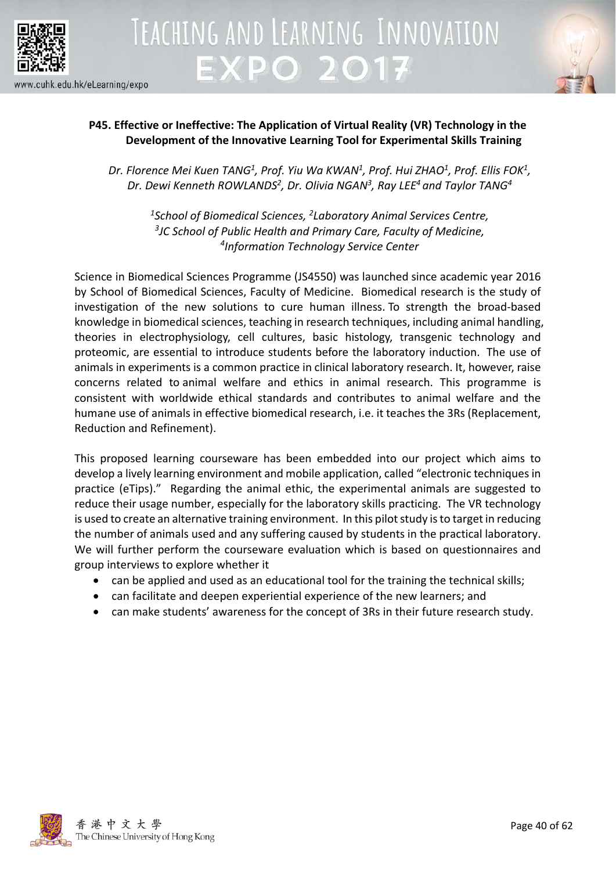



### **P45. Effective or Ineffective: The Application of Virtual Reality (VR) Technology in the Development of the Innovative Learning Tool for Experimental Skills Training**

*Dr. Florence Mei Kuen TANG1 , Prof. Yiu Wa KWAN1 , Prof. Hui ZHAO1, Prof. Ellis FOK1, Dr. Dewi Kenneth ROWLANDS2, Dr. Olivia NGAN3, Ray LEE4 and Taylor TANG4*

*1School of Biomedical Sciences, 2Laboratory Animal Services Centre, 3 JC School of Public Health and Primary Care, Faculty of Medicine, 4Information Technology Service Center*

Science in Biomedical Sciences Programme (JS4550) was launched since academic year 2016 by School of Biomedical Sciences, Faculty of Medicine. Biomedical research is the study of investigation of the new solutions to cure human illness. To strength the broad-based knowledge in biomedical sciences, teaching in research techniques, including animal handling, theories in electrophysiology, cell cultures, basic histology, transgenic technology and proteomic, are essential to introduce students before the laboratory induction. The use of animals in experiments is a common practice in clinical laboratory research. It, however, raise concerns related to animal welfare and ethics in animal research. This programme is consistent with worldwide ethical standards and contributes to animal welfare and the humane use of animals in effective biomedical research, i.e. it teaches the 3Rs (Replacement, Reduction and Refinement).

This proposed learning courseware has been embedded into our project which aims to develop a lively learning environment and mobile application, called "electronic techniques in practice (eTips)." Regarding the animal ethic, the experimental animals are suggested to reduce their usage number, especially for the laboratory skills practicing. The VR technology is used to create an alternative training environment. In this pilot study is to target in reducing the number of animals used and any suffering caused by students in the practical laboratory. We will further perform the courseware evaluation which is based on questionnaires and group interviews to explore whether it

- can be applied and used as an educational tool for the training the technical skills;
- can facilitate and deepen experiential experience of the new learners; and
- can make students' awareness for the concept of 3Rs in their future research study.

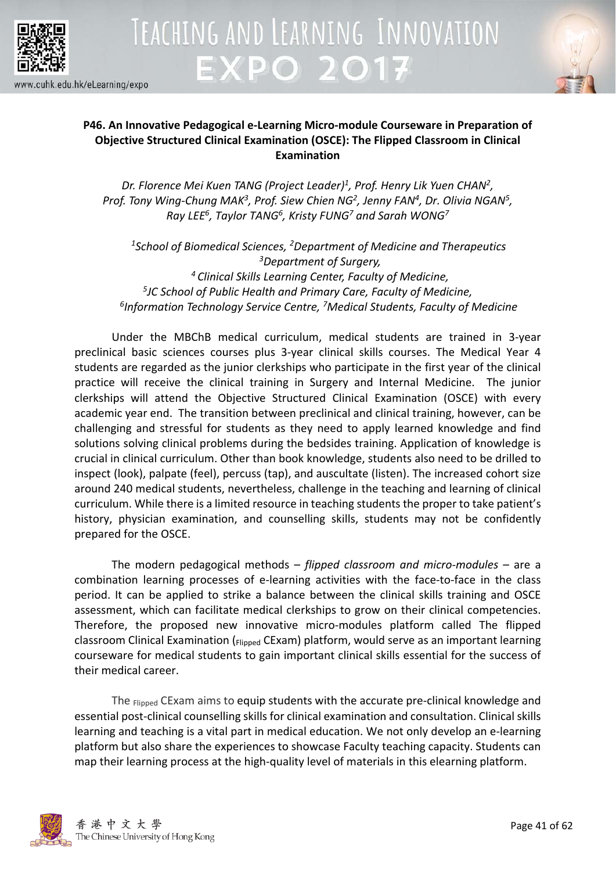



### **P46. An Innovative Pedagogical e-Learning Micro-module Courseware in Preparation of Objective Structured Clinical Examination (OSCE): The Flipped Classroom in Clinical Examination**

*Dr. Florence Mei Kuen TANG (Project Leader)1, Prof. Henry Lik Yuen CHAN2, Prof. Tony Wing-Chung MAK3, Prof. Siew Chien NG2, Jenny FAN4, Dr. Olivia NGAN5, Ray LEE6, Taylor TANG6, Kristy FUNG7 and Sarah WONG7*

*1School of Biomedical Sciences, 2Department of Medicine and Therapeutics 3 Department of Surgery, 4 Clinical Skills Learning Center, Faculty of Medicine, 5JC School of Public Health and Primary Care, Faculty of Medicine, 6 Information Technology Service Centre, 7Medical Students, Faculty of Medicine*

Under the MBChB medical curriculum, medical students are trained in 3-year preclinical basic sciences courses plus 3-year clinical skills courses. The Medical Year 4 students are regarded as the junior clerkships who participate in the first year of the clinical practice will receive the clinical training in Surgery and Internal Medicine. The junior clerkships will attend the Objective Structured Clinical Examination (OSCE) with every academic year end. The transition between preclinical and clinical training, however, can be challenging and stressful for students as they need to apply learned knowledge and find solutions solving clinical problems during the bedsides training. Application of knowledge is crucial in clinical curriculum. Other than book knowledge, students also need to be drilled to inspect (look), palpate (feel), percuss (tap), and auscultate (listen). The increased cohort size around 240 medical students, nevertheless, challenge in the teaching and learning of clinical curriculum. While there is a limited resource in teaching students the proper to take patient's history, physician examination, and counselling skills, students may not be confidently prepared for the OSCE.

The modern pedagogical methods – *flipped classroom and micro-modules* – are a combination learning processes of e-learning activities with the face-to-face in the class period. It can be applied to strike a balance between the clinical skills training and OSCE assessment, which can facilitate medical clerkships to grow on their clinical competencies. Therefore, the proposed new innovative micro-modules platform called The flipped classroom Clinical Examination (Flipped CExam) platform, would serve as an important learning courseware for medical students to gain important clinical skills essential for the success of their medical career.

The Flipped CExam aims to equip students with the accurate pre-clinical knowledge and essential post-clinical counselling skills for clinical examination and consultation. Clinical skills learning and teaching is a vital part in medical education. We not only develop an e-learning platform but also share the experiences to showcase Faculty teaching capacity. Students can map their learning process at the high-quality level of materials in this elearning platform.

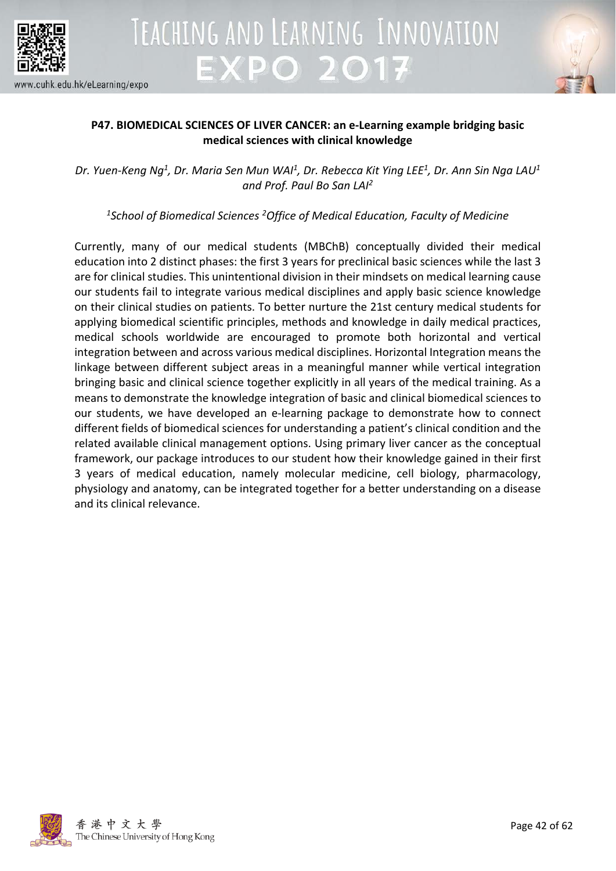



### **P47. BIOMEDICAL SCIENCES OF LIVER CANCER: an e-Learning example bridging basic medical sciences with clinical knowledge**

*Dr. Yuen-Keng Ng1 , Dr. Maria Sen Mun WAI1, Dr. Rebecca Kit Ying LEE1 , Dr. Ann Sin Nga LAU1 and Prof. Paul Bo San LAI2*

*1School of Biomedical Sciences 2Office of Medical Education, Faculty of Medicine*

Currently, many of our medical students (MBChB) conceptually divided their medical education into 2 distinct phases: the first 3 years for preclinical basic sciences while the last 3 are for clinical studies. This unintentional division in their mindsets on medical learning cause our students fail to integrate various medical disciplines and apply basic science knowledge on their clinical studies on patients. To better nurture the 21st century medical students for applying biomedical scientific principles, methods and knowledge in daily medical practices, medical schools worldwide are encouraged to promote both horizontal and vertical integration between and across various medical disciplines. Horizontal Integration means the linkage between different subject areas in a meaningful manner while vertical integration bringing basic and clinical science together explicitly in all years of the medical training. As a means to demonstrate the knowledge integration of basic and clinical biomedical sciences to our students, we have developed an e-learning package to demonstrate how to connect different fields of biomedical sciences for understanding a patient's clinical condition and the related available clinical management options. Using primary liver cancer as the conceptual framework, our package introduces to our student how their knowledge gained in their first 3 years of medical education, namely molecular medicine, cell biology, pharmacology, physiology and anatomy, can be integrated together for a better understanding on a disease and its clinical relevance.

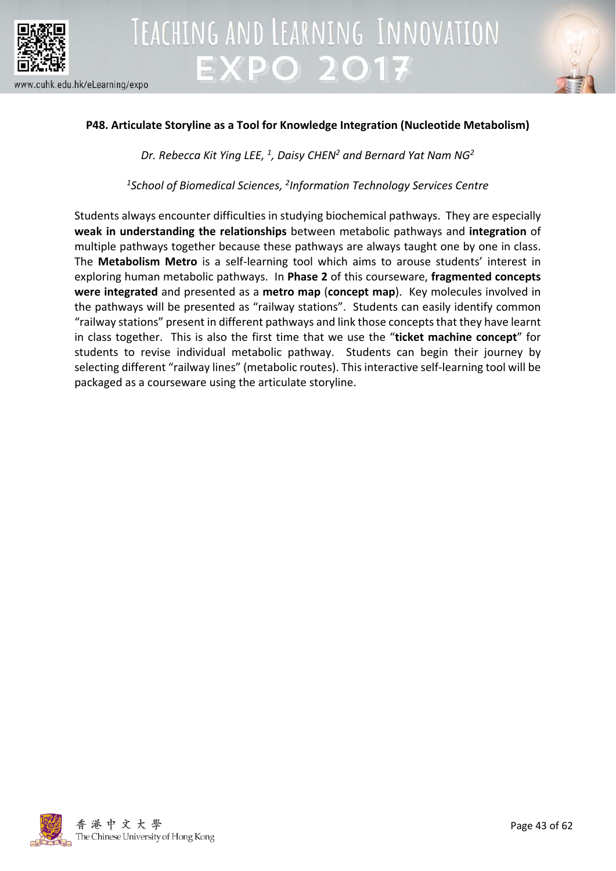



### **P48. Articulate Storyline as a Tool for Knowledge Integration (Nucleotide Metabolism)**

*Dr. Rebecca Kit Ying LEE, 1, Daisy CHEN2 and Bernard Yat Nam NG2*

*1 School of Biomedical Sciences, 2Information Technology Services Centre*

Students always encounter difficulties in studying biochemical pathways. They are especially **weak in understanding the relationships** between metabolic pathways and **integration** of multiple pathways together because these pathways are always taught one by one in class. The **Metabolism Metro** is a self-learning tool which aims to arouse students' interest in exploring human metabolic pathways. In **Phase 2** of this courseware, **fragmented concepts were integrated** and presented as a **metro map** (**concept map**). Key molecules involved in the pathways will be presented as "railway stations". Students can easily identify common "railway stations" present in different pathways and link those concepts that they have learnt in class together. This is also the first time that we use the "**ticket machine concept**" for students to revise individual metabolic pathway. Students can begin their journey by selecting different "railway lines" (metabolic routes). This interactive self-learning tool will be packaged as a courseware using the articulate storyline.

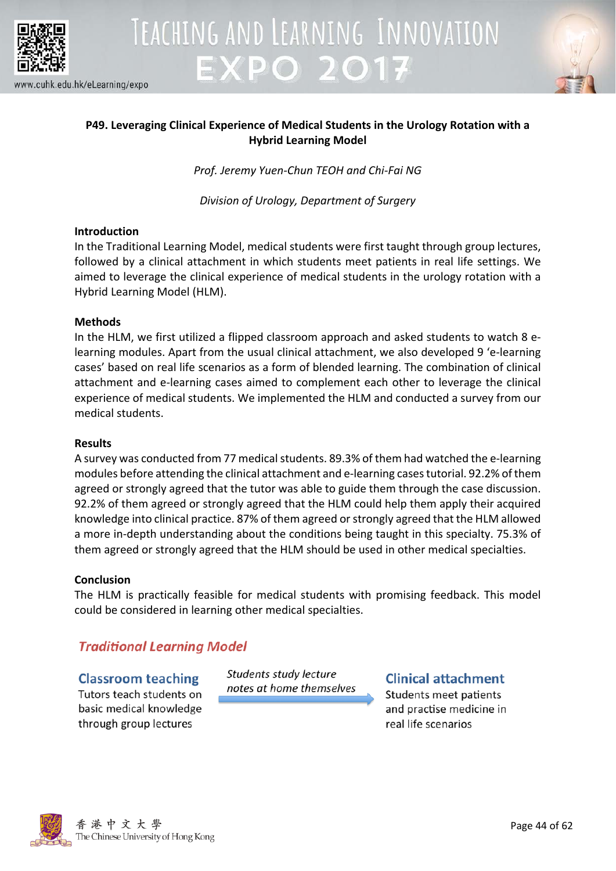



### **P49. Leveraging Clinical Experience of Medical Students in the Urology Rotation with a Hybrid Learning Model**

*Prof. Jeremy Yuen-Chun TEOH and Chi-Fai NG*

*Division of Urology, Department of Surgery*

### **Introduction**

In the Traditional Learning Model, medical students were first taught through group lectures, followed by a clinical attachment in which students meet patients in real life settings. We aimed to leverage the clinical experience of medical students in the urology rotation with a Hybrid Learning Model (HLM).

### **Methods**

In the HLM, we first utilized a flipped classroom approach and asked students to watch 8 elearning modules. Apart from the usual clinical attachment, we also developed 9 'e-learning cases' based on real life scenarios as a form of blended learning. The combination of clinical attachment and e-learning cases aimed to complement each other to leverage the clinical experience of medical students. We implemented the HLM and conducted a survey from our medical students.

### **Results**

A survey was conducted from 77 medical students. 89.3% of them had watched the e-learning modules before attending the clinical attachment and e-learning cases tutorial. 92.2% of them agreed or strongly agreed that the tutor was able to guide them through the case discussion. 92.2% of them agreed or strongly agreed that the HLM could help them apply their acquired knowledge into clinical practice. 87% of them agreed or strongly agreed that the HLM allowed a more in-depth understanding about the conditions being taught in this specialty. 75.3% of them agreed or strongly agreed that the HLM should be used in other medical specialties.

### **Conclusion**

The HLM is practically feasible for medical students with promising feedback. This model could be considered in learning other medical specialties.

### **Traditional Learning Model**

### **Classroom teaching** Tutors teach students on basic medical knowledge through group lectures

Students study lecture notes at home themselves

**Clinical attachment** Students meet patients and practise medicine in real life scenarios

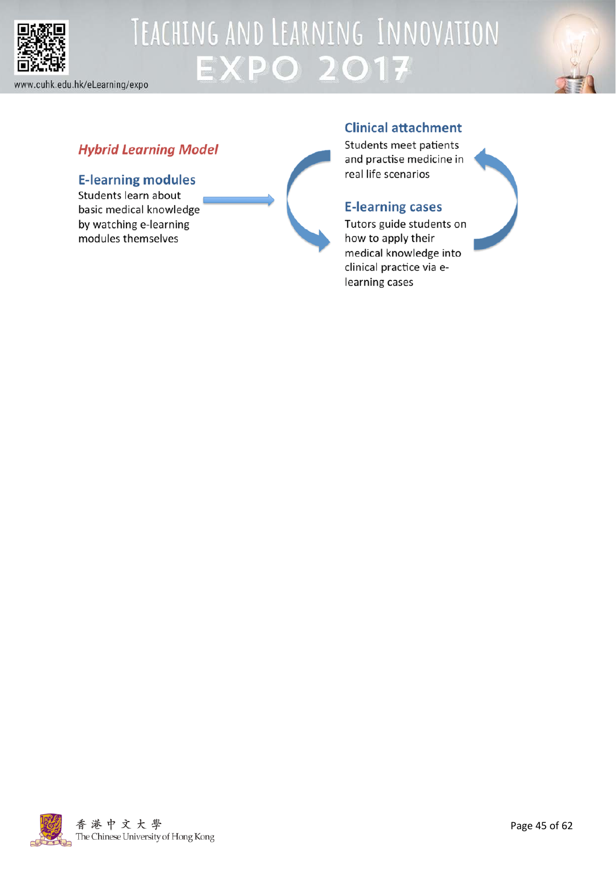



### **Hybrid Learning Model**

### **E-learning modules**

Students learn about basic medical knowledge by watching e-learning modules themselves



Students meet patients and practise medicine in real life scenarios

### **E-learning cases**

Tutors guide students on how to apply their medical knowledge into clinical practice via elearning cases

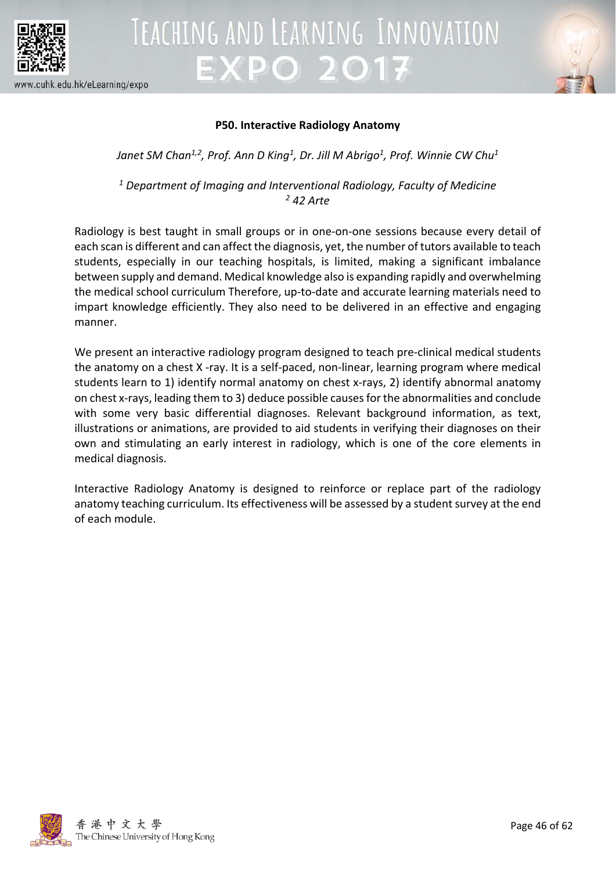



### **P50. Interactive Radiology Anatomy**

Janet SM Chan<sup>1,2</sup>, Prof. Ann D King<sup>1</sup>, Dr. Jill M Abrigo<sup>1</sup>, Prof. Winnie CW Chu<sup>1</sup>

*<sup>1</sup> Department of Imaging and Interventional Radiology, Faculty of Medicine <sup>2</sup> 42 Arte*

Radiology is best taught in small groups or in one-on-one sessions because every detail of each scan is different and can affect the diagnosis, yet, the number of tutors available to teach students, especially in our teaching hospitals, is limited, making a significant imbalance between supply and demand. Medical knowledge also is expanding rapidly and overwhelming the medical school curriculum Therefore, up-to-date and accurate learning materials need to impart knowledge efficiently. They also need to be delivered in an effective and engaging manner.

We present an interactive radiology program designed to teach pre-clinical medical students the anatomy on a chest X -ray. It is a self-paced, non-linear, learning program where medical students learn to 1) identify normal anatomy on chest x-rays, 2) identify abnormal anatomy on chest x-rays, leading them to 3) deduce possible causes for the abnormalities and conclude with some very basic differential diagnoses. Relevant background information, as text, illustrations or animations, are provided to aid students in verifying their diagnoses on their own and stimulating an early interest in radiology, which is one of the core elements in medical diagnosis.

Interactive Radiology Anatomy is designed to reinforce or replace part of the radiology anatomy teaching curriculum. Its effectiveness will be assessed by a student survey at the end of each module.

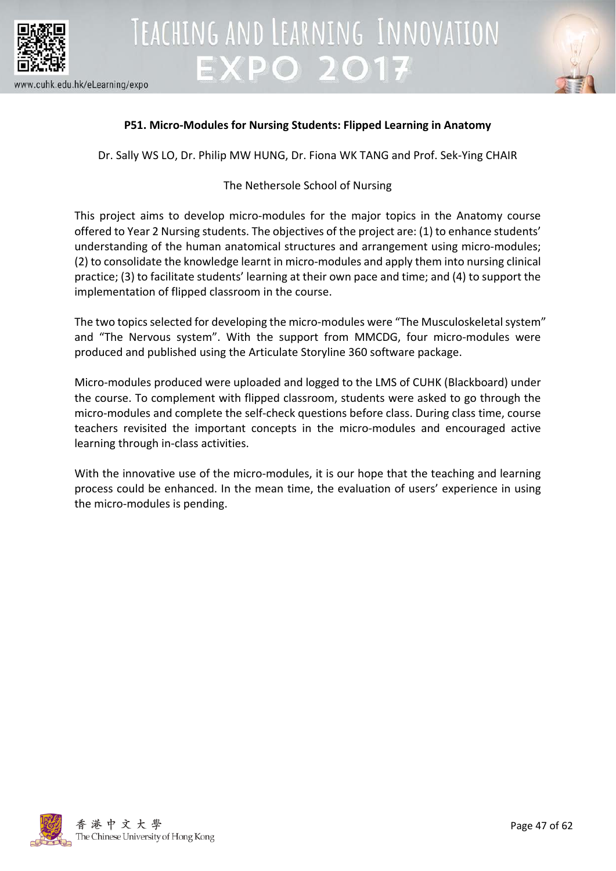

#### www.cuhk.edu.hk/eLearning/expo



### **P51. Micro-Modules for Nursing Students: Flipped Learning in Anatomy**

**EXPO 2017** 

TEACHING AND LEARNING INNOVATION

Dr. Sally WS LO, Dr. Philip MW HUNG, Dr. Fiona WK TANG and Prof. Sek-Ying CHAIR

### The Nethersole School of Nursing

This project aims to develop micro-modules for the major topics in the Anatomy course offered to Year 2 Nursing students. The objectives of the project are: (1) to enhance students' understanding of the human anatomical structures and arrangement using micro-modules; (2) to consolidate the knowledge learnt in micro-modules and apply them into nursing clinical practice; (3) to facilitate students' learning at their own pace and time; and (4) to support the implementation of flipped classroom in the course.

The two topics selected for developing the micro-modules were "The Musculoskeletal system" and "The Nervous system". With the support from MMCDG, four micro-modules were produced and published using the Articulate Storyline 360 software package.

Micro-modules produced were uploaded and logged to the LMS of CUHK (Blackboard) under the course. To complement with flipped classroom, students were asked to go through the micro-modules and complete the self-check questions before class. During class time, course teachers revisited the important concepts in the micro-modules and encouraged active learning through in-class activities.

With the innovative use of the micro-modules, it is our hope that the teaching and learning process could be enhanced. In the mean time, the evaluation of users' experience in using the micro-modules is pending.

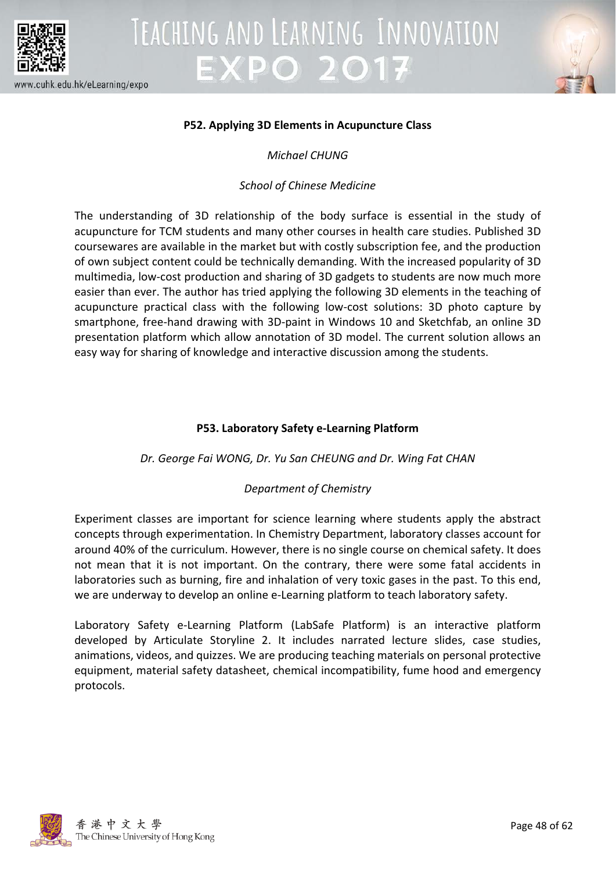



### **P52. Applying 3D Elements in Acupuncture Class**

*Michael CHUNG*

### *School of Chinese Medicine*

The understanding of 3D relationship of the body surface is essential in the study of acupuncture for TCM students and many other courses in health care studies. Published 3D coursewares are available in the market but with costly subscription fee, and the production of own subject content could be technically demanding. With the increased popularity of 3D multimedia, low-cost production and sharing of 3D gadgets to students are now much more easier than ever. The author has tried applying the following 3D elements in the teaching of acupuncture practical class with the following low-cost solutions: 3D photo capture by smartphone, free-hand drawing with 3D-paint in Windows 10 and Sketchfab, an online 3D presentation platform which allow annotation of 3D model. The current solution allows an easy way for sharing of knowledge and interactive discussion among the students.

### **P53. Laboratory Safety e-Learning Platform**

### *Dr. George Fai WONG, Dr. Yu San CHEUNG and Dr. Wing Fat CHAN*

### *Department of Chemistry*

Experiment classes are important for science learning where students apply the abstract concepts through experimentation. In Chemistry Department, laboratory classes account for around 40% of the curriculum. However, there is no single course on chemical safety. It does not mean that it is not important. On the contrary, there were some fatal accidents in laboratories such as burning, fire and inhalation of very toxic gases in the past. To this end, we are underway to develop an online e-Learning platform to teach laboratory safety.

Laboratory Safety e-Learning Platform (LabSafe Platform) is an interactive platform developed by Articulate Storyline 2. It includes narrated lecture slides, case studies, animations, videos, and quizzes. We are producing teaching materials on personal protective equipment, material safety datasheet, chemical incompatibility, fume hood and emergency protocols.

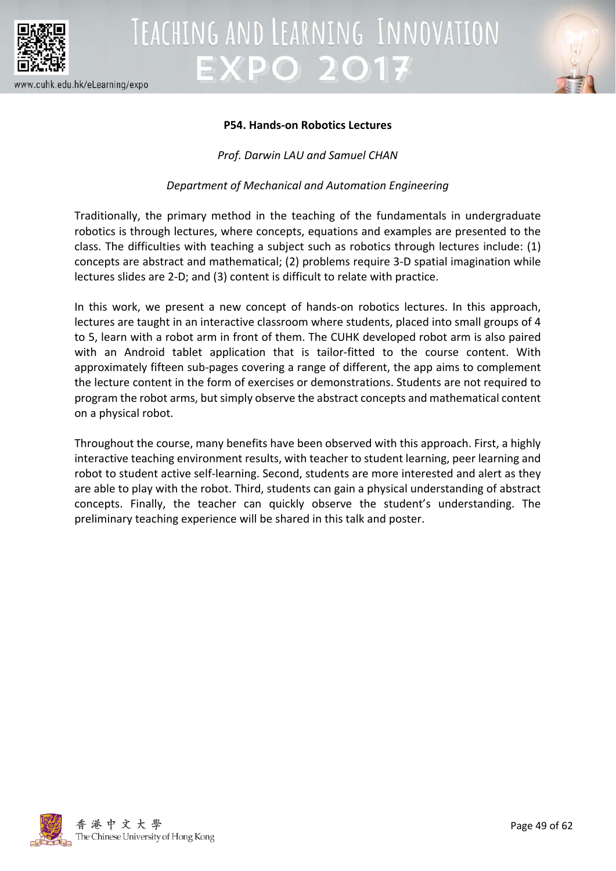



### **P54. Hands-on Robotics Lectures**

*Prof. Darwin LAU and Samuel CHAN*

*Department of Mechanical and Automation Engineering*

Traditionally, the primary method in the teaching of the fundamentals in undergraduate robotics is through lectures, where concepts, equations and examples are presented to the class. The difficulties with teaching a subject such as robotics through lectures include: (1) concepts are abstract and mathematical; (2) problems require 3-D spatial imagination while lectures slides are 2-D; and (3) content is difficult to relate with practice.

In this work, we present a new concept of hands-on robotics lectures. In this approach, lectures are taught in an interactive classroom where students, placed into small groups of 4 to 5, learn with a robot arm in front of them. The CUHK developed robot arm is also paired with an Android tablet application that is tailor-fitted to the course content. With approximately fifteen sub-pages covering a range of different, the app aims to complement the lecture content in the form of exercises or demonstrations. Students are not required to program the robot arms, but simply observe the abstract concepts and mathematical content on a physical robot.

Throughout the course, many benefits have been observed with this approach. First, a highly interactive teaching environment results, with teacher to student learning, peer learning and robot to student active self-learning. Second, students are more interested and alert as they are able to play with the robot. Third, students can gain a physical understanding of abstract concepts. Finally, the teacher can quickly observe the student's understanding. The preliminary teaching experience will be shared in this talk and poster.

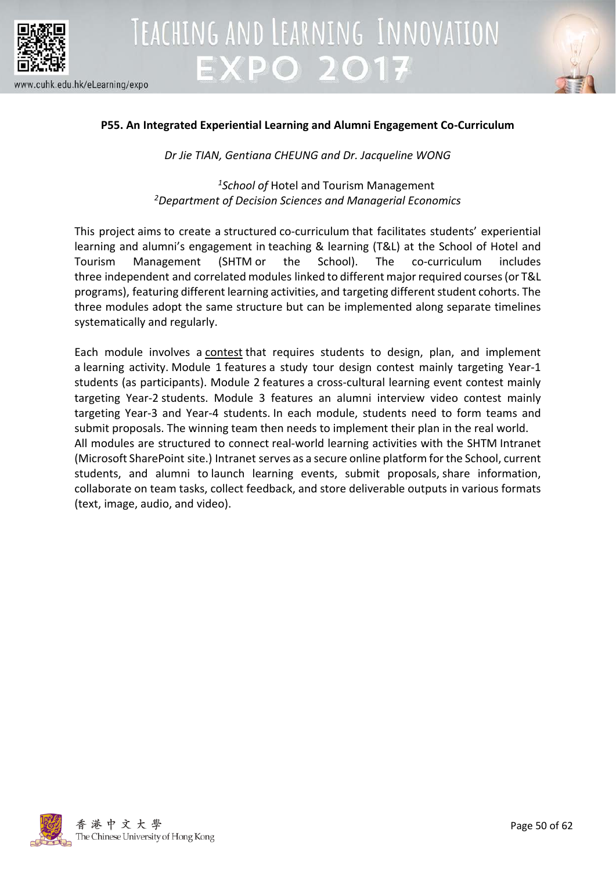



### **P55. An Integrated Experiential Learning and Alumni Engagement Co-Curriculum**

*Dr Jie TIAN, Gentiana CHEUNG and Dr. Jacqueline WONG*

*1School of* Hotel and Tourism Management *2Department of Decision Sciences and Managerial Economics*

This project aims to create a structured co-curriculum that facilitates students' experiential learning and alumni's engagement in teaching & learning (T&L) at the School of Hotel and Tourism Management (SHTM or the School). The co-curriculum includes three independent and correlated modules linked to different major required courses (or T&L programs), featuring different learning activities, and targeting different student cohorts. The three modules adopt the same structure but can be implemented along separate timelines systematically and regularly.

Each module involves a contest that requires students to design, plan, and implement a learning activity. Module 1 features a study tour design contest mainly targeting Year-1 students (as participants). Module 2 features a cross-cultural learning event contest mainly targeting Year-2 students. Module 3 features an alumni interview video contest mainly targeting Year-3 and Year-4 students. In each module, students need to form teams and submit proposals. The winning team then needs to implement their plan in the real world. All modules are structured to connect real-world learning activities with the SHTM Intranet (Microsoft SharePoint site.) Intranet serves as a secure online platform for the School, current students, and alumni to launch learning events, submit proposals, share information, collaborate on team tasks, collect feedback, and store deliverable outputs in various formats (text, image, audio, and video).

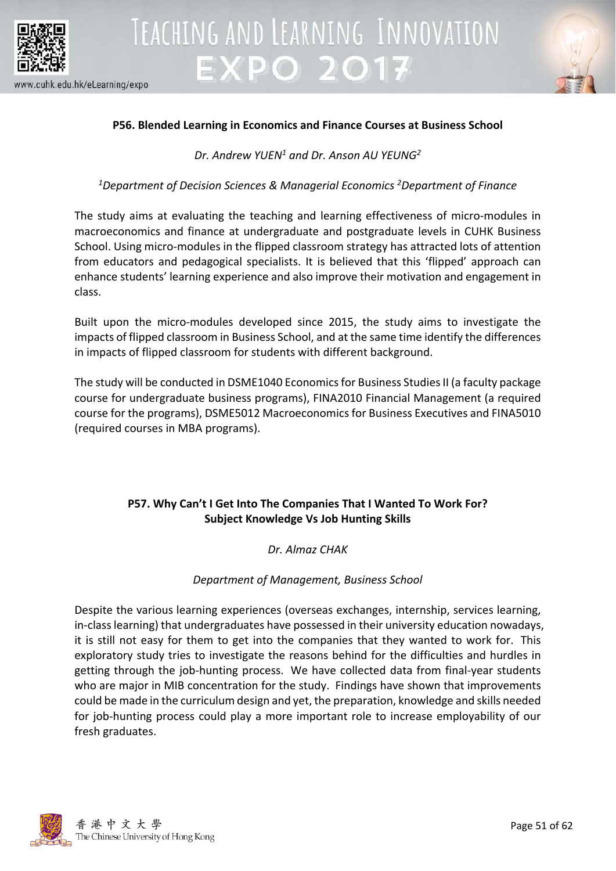





### **P56. Blended Learning in Economics and Finance Courses at Business School**

*Dr. Andrew YUEN1 and Dr. Anson AU YEUNG2*

*1 Department of Decision Sciences & Managerial Economics <sup>2</sup> Department of Finance*

The study aims at evaluating the teaching and learning effectiveness of micro-modules in macroeconomics and finance at undergraduate and postgraduate levels in CUHK Business School. Using micro-modules in the flipped classroom strategy has attracted lots of attention from educators and pedagogical specialists. It is believed that this 'flipped' approach can enhance students' learning experience and also improve their motivation and engagement in class.

Built upon the micro-modules developed since 2015, the study aims to investigate the impacts of flipped classroom in Business School, and at the same time identify the differences in impacts of flipped classroom for students with different background.

The study will be conducted in DSME1040 Economics for Business Studies II (a faculty package course for undergraduate business programs), FINA2010 Financial Management (a required course for the programs), DSME5012 Macroeconomics for Business Executives and FINA5010 (required courses in MBA programs).

### **P57. Why Can't I Get Into The Companies That I Wanted To Work For? Subject Knowledge Vs Job Hunting Skills**

*Dr. Almaz CHAK*

### *Department of Management, Business School*

Despite the various learning experiences (overseas exchanges, internship, services learning, in-class learning) that undergraduates have possessed in their university education nowadays, it is still not easy for them to get into the companies that they wanted to work for. This exploratory study tries to investigate the reasons behind for the difficulties and hurdles in getting through the job-hunting process. We have collected data from final-year students who are major in MIB concentration for the study. Findings have shown that improvements could be made in the curriculum design and yet, the preparation, knowledge and skills needed for job-hunting process could play a more important role to increase employability of our fresh graduates.

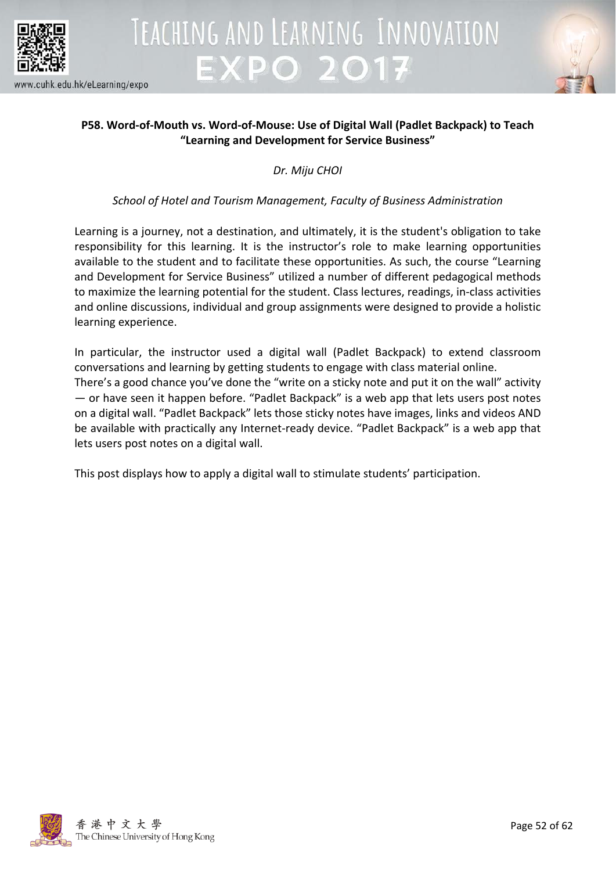

# TEACHING AND LEARNING INNOVATION **EXPO 2017**



### **P58. Word-of-Mouth vs. Word-of-Mouse: Use of Digital Wall (Padlet Backpack) to Teach "Learning and Development for Service Business"**

*Dr. Miju CHOI*

### *School of Hotel and Tourism Management, Faculty of Business Administration*

Learning is a journey, not a destination, and ultimately, it is the student's obligation to take responsibility for this learning. It is the instructor's role to make learning opportunities available to the student and to facilitate these opportunities. As such, the course "Learning and Development for Service Business" utilized a number of different pedagogical methods to maximize the learning potential for the student. Class lectures, readings, in-class activities and online discussions, individual and group assignments were designed to provide a holistic learning experience.

In particular, the instructor used a digital wall (Padlet Backpack) to extend classroom conversations and learning by getting students to engage with class material online. There's a good chance you've done the "write on a sticky note and put it on the wall" activity — or have seen it happen before. "Padlet Backpack" is a web app that lets users post notes on a digital wall. "Padlet Backpack" lets those sticky notes have images, links and videos AND be available with practically any Internet-ready device. "Padlet Backpack" is a web app that lets users post notes on a digital wall.

This post displays how to apply a digital wall to stimulate students' participation.

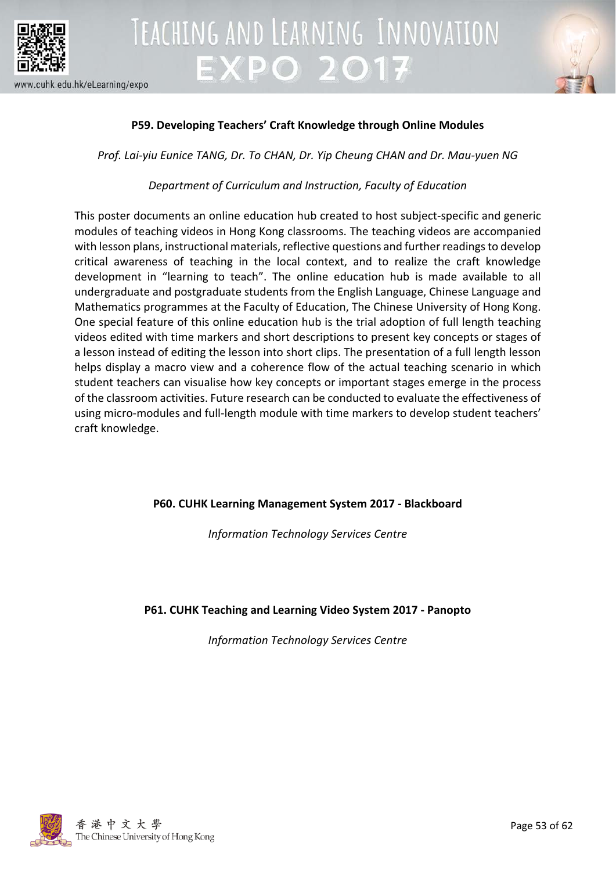



### **P59. Developing Teachers' Craft Knowledge through Online Modules**

*Prof. Lai-yiu Eunice TANG, Dr. To CHAN, Dr. Yip Cheung CHAN and Dr. Mau-yuen NG*

### *Department of Curriculum and Instruction, Faculty of Education*

This poster documents an online education hub created to host subject-specific and generic modules of teaching videos in Hong Kong classrooms. The teaching videos are accompanied with lesson plans, instructional materials, reflective questions and further readings to develop critical awareness of teaching in the local context, and to realize the craft knowledge development in "learning to teach". The online education hub is made available to all undergraduate and postgraduate students from the English Language, Chinese Language and Mathematics programmes at the Faculty of Education, The Chinese University of Hong Kong. One special feature of this online education hub is the trial adoption of full length teaching videos edited with time markers and short descriptions to present key concepts or stages of a lesson instead of editing the lesson into short clips. The presentation of a full length lesson helps display a macro view and a coherence flow of the actual teaching scenario in which student teachers can visualise how key concepts or important stages emerge in the process of the classroom activities. Future research can be conducted to evaluate the effectiveness of using micro-modules and full-length module with time markers to develop student teachers' craft knowledge.

### **P60. CUHK Learning Management System 2017 - Blackboard**

*Information Technology Services Centre*

### **P61. CUHK Teaching and Learning Video System 2017 - Panopto**

*Information Technology Services Centre*

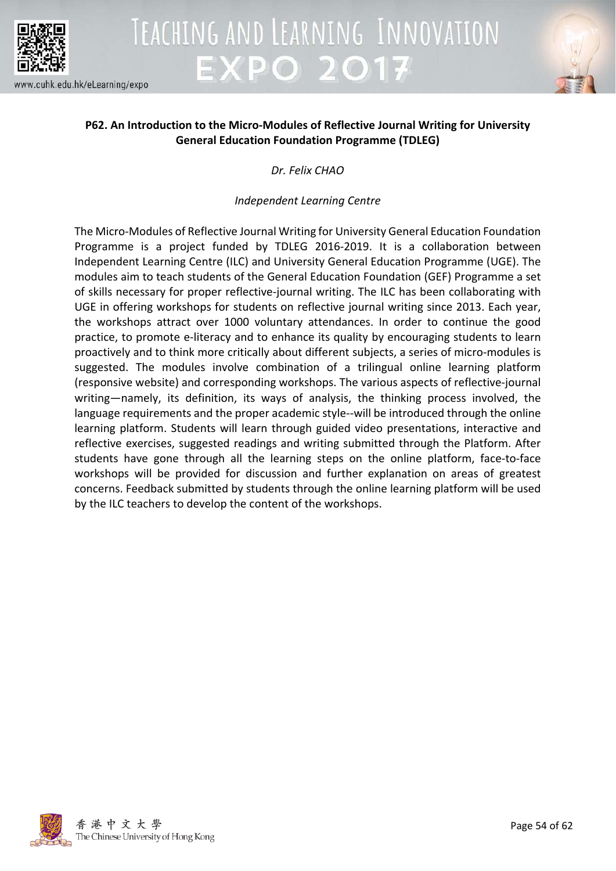

## TEACHING AND LEARNING INNOVATION **EXPO 2017**



### **P62. An Introduction to the Micro-Modules of Reflective Journal Writing for University General Education Foundation Programme (TDLEG)**

*Dr. Felix CHAO*

### *Independent Learning Centre*

The Micro-Modules of Reflective Journal Writing for University General Education Foundation Programme is a project funded by TDLEG 2016-2019. It is a collaboration between Independent Learning Centre (ILC) and University General Education Programme (UGE). The modules aim to teach students of the General Education Foundation (GEF) Programme a set of skills necessary for proper reflective-journal writing. The ILC has been collaborating with UGE in offering workshops for students on reflective journal writing since 2013. Each year, the workshops attract over 1000 voluntary attendances. In order to continue the good practice, to promote e-literacy and to enhance its quality by encouraging students to learn proactively and to think more critically about different subjects, a series of micro-modules is suggested. The modules involve combination of a trilingual online learning platform (responsive website) and corresponding workshops. The various aspects of reflective-journal writing—namely, its definition, its ways of analysis, the thinking process involved, the language requirements and the proper academic style--will be introduced through the online learning platform. Students will learn through guided video presentations, interactive and reflective exercises, suggested readings and writing submitted through the Platform. After students have gone through all the learning steps on the online platform, face-to-face workshops will be provided for discussion and further explanation on areas of greatest concerns. Feedback submitted by students through the online learning platform will be used by the ILC teachers to develop the content of the workshops.

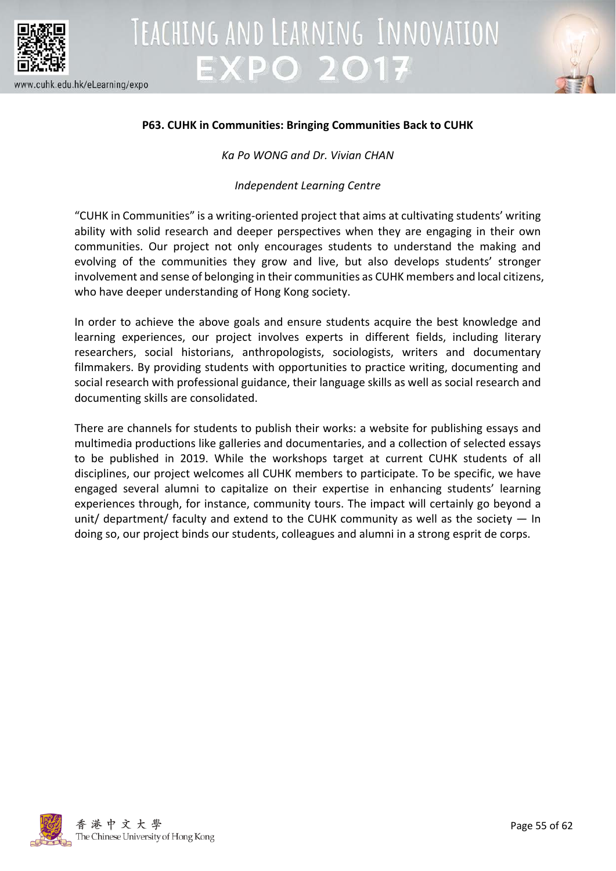



### **P63. CUHK in Communities: Bringing Communities Back to CUHK**

*Ka Po WONG and Dr. Vivian CHAN*

*Independent Learning Centre*

"CUHK in Communities" is a writing-oriented project that aims at cultivating students' writing ability with solid research and deeper perspectives when they are engaging in their own communities. Our project not only encourages students to understand the making and evolving of the communities they grow and live, but also develops students' stronger involvement and sense of belonging in their communities as CUHK members and local citizens, who have deeper understanding of Hong Kong society.

In order to achieve the above goals and ensure students acquire the best knowledge and learning experiences, our project involves experts in different fields, including literary researchers, social historians, anthropologists, sociologists, writers and documentary filmmakers. By providing students with opportunities to practice writing, documenting and social research with professional guidance, their language skills as well as social research and documenting skills are consolidated.

There are channels for students to publish their works: a website for publishing essays and multimedia productions like galleries and documentaries, and a collection of selected essays to be published in 2019. While the workshops target at current CUHK students of all disciplines, our project welcomes all CUHK members to participate. To be specific, we have engaged several alumni to capitalize on their expertise in enhancing students' learning experiences through, for instance, community tours. The impact will certainly go beyond a unit/ department/ faculty and extend to the CUHK community as well as the society  $-$  In doing so, our project binds our students, colleagues and alumni in a strong esprit de corps.

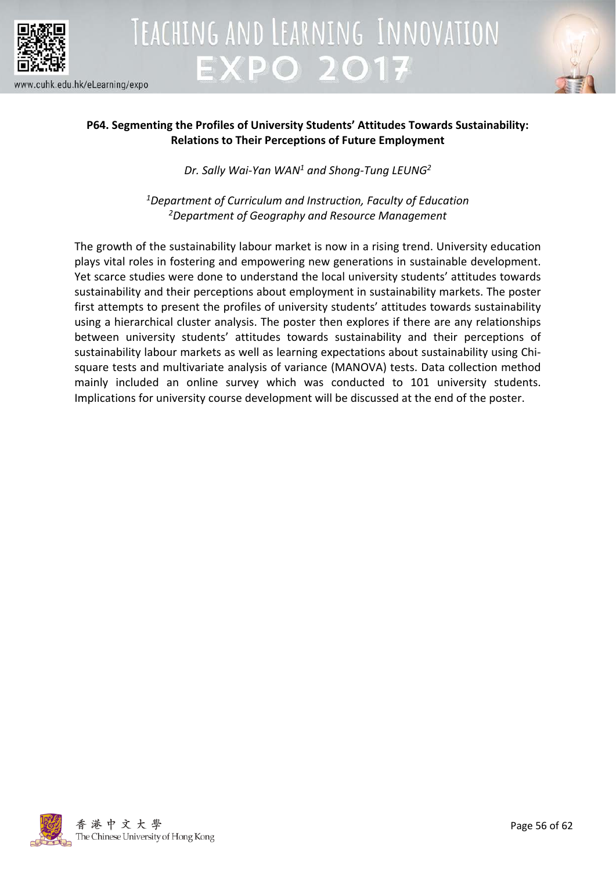



### **P64. Segmenting the Profiles of University Students' Attitudes Towards Sustainability: Relations to Their Perceptions of Future Employment**

*Dr. Sally Wai-Yan WAN1 and Shong-Tung LEUNG2*

*1Department of Curriculum and Instruction, Faculty of Education 2Department of Geography and Resource Management*

The growth of the sustainability labour market is now in a rising trend. University education plays vital roles in fostering and empowering new generations in sustainable development. Yet scarce studies were done to understand the local university students' attitudes towards sustainability and their perceptions about employment in sustainability markets. The poster first attempts to present the profiles of university students' attitudes towards sustainability using a hierarchical cluster analysis. The poster then explores if there are any relationships between university students' attitudes towards sustainability and their perceptions of sustainability labour markets as well as learning expectations about sustainability using Chisquare tests and multivariate analysis of variance (MANOVA) tests. Data collection method mainly included an online survey which was conducted to 101 university students. Implications for university course development will be discussed at the end of the poster.

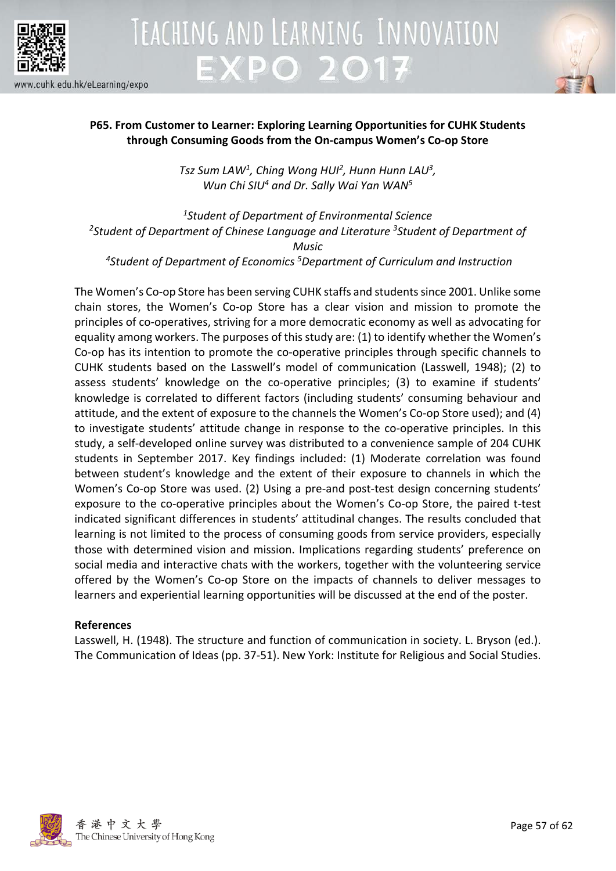



### **P65. From Customer to Learner: Exploring Learning Opportunities for CUHK Students through Consuming Goods from the On-campus Women's Co-op Store**

*Tsz Sum LAW1 , Ching Wong HUI2, Hunn Hunn LAU3 , Wun Chi SIU4 and Dr. Sally Wai Yan WAN5*

*1Student of Department of Environmental Science* <sup>2</sup>Student of Department of Chinese Language and Literature <sup>3</sup>Student of Department of *Music*

*4 Student of Department of Economics 5 Department of Curriculum and Instruction*

The Women's Co-op Store has been serving CUHK staffs and students since 2001. Unlike some chain stores, the Women's Co-op Store has a clear vision and mission to promote the principles of co-operatives, striving for a more democratic economy as well as advocating for equality among workers. The purposes of this study are: (1) to identify whether the Women's Co-op has its intention to promote the co-operative principles through specific channels to CUHK students based on the Lasswell's model of communication (Lasswell, 1948); (2) to assess students' knowledge on the co-operative principles; (3) to examine if students' knowledge is correlated to different factors (including students' consuming behaviour and attitude, and the extent of exposure to the channels the Women's Co-op Store used); and (4) to investigate students' attitude change in response to the co-operative principles. In this study, a self-developed online survey was distributed to a convenience sample of 204 CUHK students in September 2017. Key findings included: (1) Moderate correlation was found between student's knowledge and the extent of their exposure to channels in which the Women's Co-op Store was used. (2) Using a pre-and post-test design concerning students' exposure to the co-operative principles about the Women's Co-op Store, the paired t-test indicated significant differences in students' attitudinal changes. The results concluded that learning is not limited to the process of consuming goods from service providers, especially those with determined vision and mission. Implications regarding students' preference on social media and interactive chats with the workers, together with the volunteering service offered by the Women's Co-op Store on the impacts of channels to deliver messages to learners and experiential learning opportunities will be discussed at the end of the poster.

### **References**

Lasswell, H. (1948). The structure and function of communication in society. L. Bryson (ed.). The Communication of Ideas (pp. 37-51). New York: Institute for Religious and Social Studies.

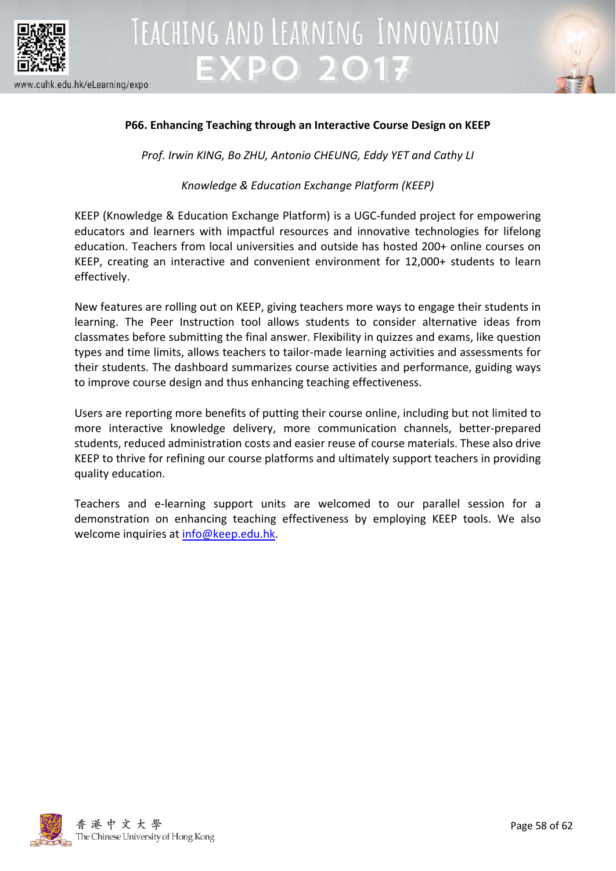



### **P66. Enhancing Teaching through an Interactive Course Design on KEEP**

*Prof. Irwin KING, Bo ZHU, Antonio CHEUNG, Eddy YET and Cathy LI*

*Knowledge & Education Exchange Platform (KEEP)*

KEEP (Knowledge & Education Exchange Platform) is a UGC-funded project for empowering educators and learners with impactful resources and innovative technologies for lifelong education. Teachers from local universities and outside has hosted 200+ online courses on KEEP, creating an interactive and convenient environment for 12,000+ students to learn effectively.

New features are rolling out on KEEP, giving teachers more ways to engage their students in learning. The Peer Instruction tool allows students to consider alternative ideas from classmates before submitting the final answer. Flexibility in quizzes and exams, like question types and time limits, allows teachers to tailor-made learning activities and assessments for their students. The dashboard summarizes course activities and performance, guiding ways to improve course design and thus enhancing teaching effectiveness.

Users are reporting more benefits of putting their course online, including but not limited to more interactive knowledge delivery, more communication channels, better-prepared students, reduced administration costs and easier reuse of course materials. These also drive KEEP to thrive for refining our course platforms and ultimately support teachers in providing quality education.

Teachers and e-learning support units are welcomed to our parallel session for a demonstration on enhancing teaching effectiveness by employing KEEP tools. We also welcome inquiries at [info@keep.edu.hk.](mailto:info@keep.edu.hk)

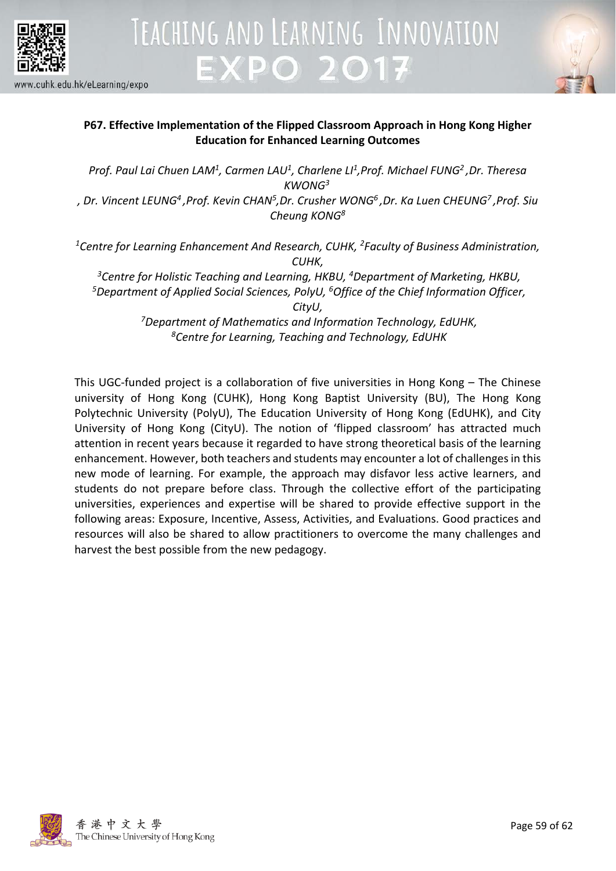



### **P67. Effective Implementation of the Flipped Classroom Approach in Hong Kong Higher Education for Enhanced Learning Outcomes**

*Prof. Paul Lai Chuen LAM1 , Carmen LAU1, Charlene LI1,Prof. Michael FUNG2 ,Dr. Theresa KWONG3*

*, Dr. Vincent LEUNG4 ,Prof. Kevin CHAN5,Dr. Crusher WONG6 ,Dr. Ka Luen CHEUNG7 ,Prof. Siu Cheung KONG8*

*1Centre for Learning Enhancement And Research, CUHK, 2Faculty of Business Administration, CUHK,*

*3 Centre for Holistic Teaching and Learning, HKBU, <sup>4</sup> Department of Marketing, HKBU, 5Department of Applied Social Sciences, PolyU, 6Office of the Chief Information Officer, CityU,*

*7 Department of Mathematics and Information Technology, EdUHK, 8Centre for Learning, Teaching and Technology, EdUHK*

This UGC-funded project is a collaboration of five universities in Hong Kong – The Chinese university of Hong Kong (CUHK), Hong Kong Baptist University (BU), The Hong Kong Polytechnic University (PolyU), The Education University of Hong Kong (EdUHK), and City University of Hong Kong (CityU). The notion of 'flipped classroom' has attracted much attention in recent years because it regarded to have strong theoretical basis of the learning enhancement. However, both teachers and students may encounter a lot of challenges in this new mode of learning. For example, the approach may disfavor less active learners, and students do not prepare before class. Through the collective effort of the participating universities, experiences and expertise will be shared to provide effective support in the following areas: Exposure, Incentive, Assess, Activities, and Evaluations. Good practices and resources will also be shared to allow practitioners to overcome the many challenges and harvest the best possible from the new pedagogy.

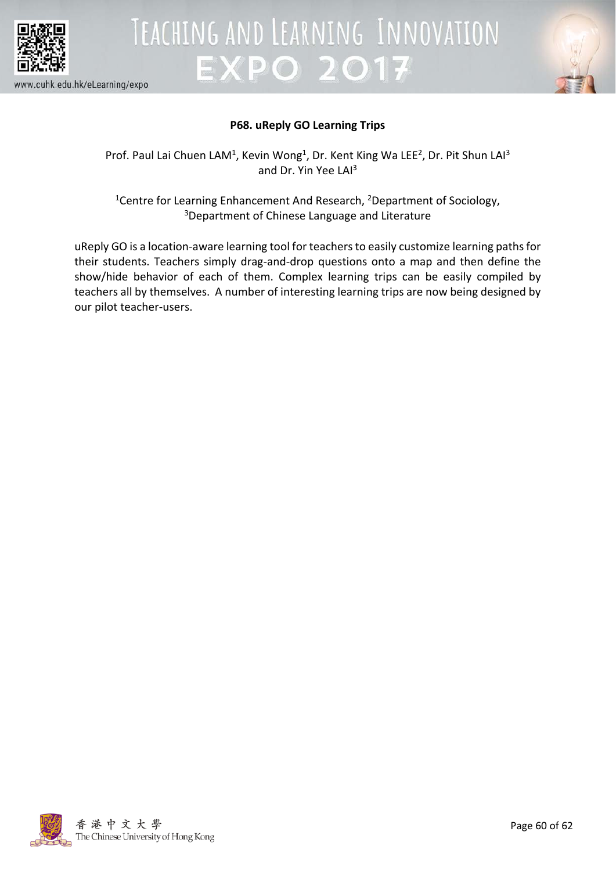



### **P68. uReply GO Learning Trips**

Prof. Paul Lai Chuen LAM<sup>1</sup>, Kevin Wong<sup>1</sup>, Dr. Kent King Wa LEE<sup>2</sup>, Dr. Pit Shun LAI<sup>3</sup> and Dr. Yin Yee LAI<sup>3</sup>

<sup>1</sup>Centre for Learning Enhancement And Research, <sup>2</sup>Department of Sociology, 3Department of Chinese Language and Literature

uReply GO is a location-aware learning tool for teachers to easily customize learning paths for their students. Teachers simply drag-and-drop questions onto a map and then define the show/hide behavior of each of them. Complex learning trips can be easily compiled by teachers all by themselves. A number of interesting learning trips are now being designed by our pilot teacher-users.

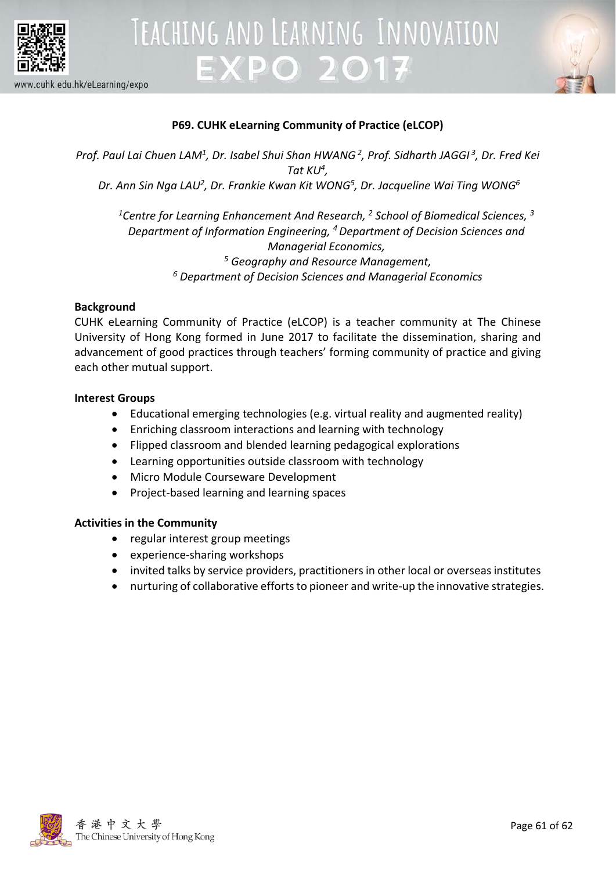

## TEACHING AND LEARNING INNOVATION **EXPO 2017**



www.cuhk.edu.hk/eLearning/expo

### **P69. CUHK eLearning Community of Practice (eLCOP)**

*Prof. Paul Lai Chuen LAM1 , Dr. Isabel Shui Shan HWANG2 , Prof. Sidharth JAGGI <sup>3</sup> , Dr. Fred Kei Tat KU4 ,* Dr. Ann Sin Nga LAU<sup>2</sup>, Dr. Frankie Kwan Kit WONG<sup>5</sup>, Dr. Jacqueline Wai Ting WONG<sup>6</sup>

*1Centre for Learning Enhancement And Research, 2 School of Biomedical Sciences, 3 Department of Information Engineering, 4 Department of Decision Sciences and Managerial Economics, <sup>5</sup> Geography and Resource Management, <sup>6</sup> Department of Decision Sciences and Managerial Economics*

### **Background**

CUHK eLearning Community of Practice (eLCOP) is a teacher community at The Chinese University of Hong Kong formed in June 2017 to facilitate the dissemination, sharing and advancement of good practices through teachers' forming community of practice and giving each other mutual support.

### **Interest Groups**

- Educational emerging technologies (e.g. virtual reality and augmented reality)
- Enriching classroom interactions and learning with technology
- Flipped classroom and blended learning pedagogical explorations
- Learning opportunities outside classroom with technology
- Micro Module Courseware Development
- Project-based learning and learning spaces

### **Activities in the Community**

- regular interest group meetings
- experience-sharing workshops
- invited talks by service providers, practitioners in other local or overseas institutes
- nurturing of collaborative efforts to pioneer and write-up the innovative strategies.